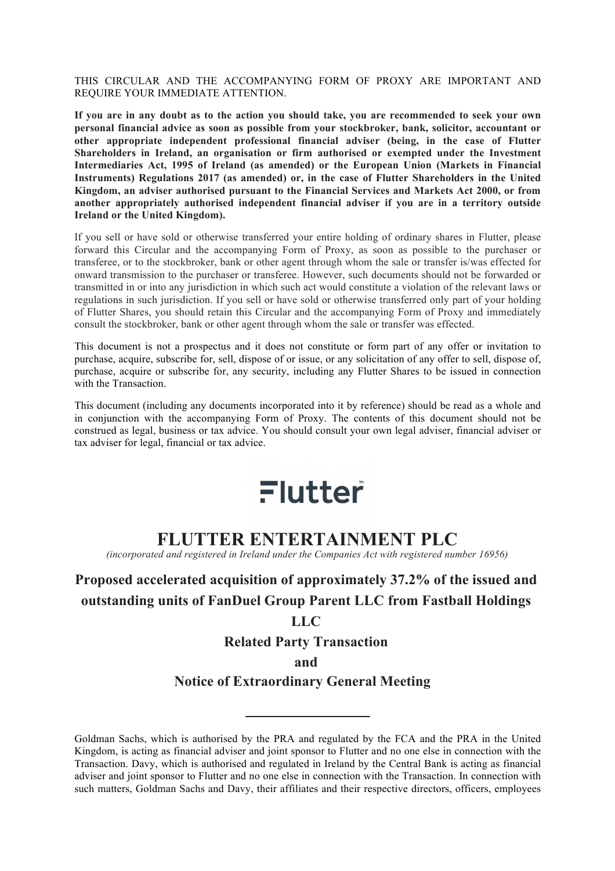THIS CIRCULAR AND THE ACCOMPANYING FORM OF PROXY ARE IMPORTANT AND REQUIRE YOUR IMMEDIATE ATTENTION.

**If you are in any doubt as to the action you should take, you are recommended to seek your own personal financial advice as soon as possible from your stockbroker, bank, solicitor, accountant or other appropriate independent professional financial adviser (being, in the case of Flutter Shareholders in Ireland, an organisation or firm authorised or exempted under the Investment Intermediaries Act, 1995 of Ireland (as amended) or the European Union (Markets in Financial Instruments) Regulations 2017 (as amended) or, in the case of Flutter Shareholders in the United Kingdom, an adviser authorised pursuant to the Financial Services and Markets Act 2000, or from another appropriately authorised independent financial adviser if you are in a territory outside Ireland or the United Kingdom).**

If you sell or have sold or otherwise transferred your entire holding of ordinary shares in Flutter, please forward this Circular and the accompanying Form of Proxy, as soon as possible to the purchaser or transferee, or to the stockbroker, bank or other agent through whom the sale or transfer is/was effected for onward transmission to the purchaser or transferee. However, such documents should not be forwarded or transmitted in or into any jurisdiction in which such act would constitute a violation of the relevant laws or regulations in such jurisdiction. If you sell or have sold or otherwise transferred only part of your holding of Flutter Shares, you should retain this Circular and the accompanying Form of Proxy and immediately consult the stockbroker, bank or other agent through whom the sale or transfer was effected.

This document is not a prospectus and it does not constitute or form part of any offer or invitation to purchase, acquire, subscribe for, sell, dispose of or issue, or any solicitation of any offer to sell, dispose of, purchase, acquire or subscribe for, any security, including any Flutter Shares to be issued in connection with the Transaction.

This document (including any documents incorporated into it by reference) should be read as a whole and in conjunction with the accompanying Form of Proxy. The contents of this document should not be construed as legal, business or tax advice. You should consult your own legal adviser, financial adviser or tax adviser for legal, financial or tax advice.

# Flutter

# **FLUTTER ENTERTAINMENT PLC**

*(incorporated and registered in Ireland under the Companies Act with registered number 16956)*

# **Proposed accelerated acquisition of approximately 37.2% of the issued and outstanding units of FanDuel Group Parent LLC from Fastball Holdings**

# **LLC**

**Related Party Transaction**

**and**

# **Notice of Extraordinary General Meeting**

Goldman Sachs, which is authorised by the PRA and regulated by the FCA and the PRA in the United Kingdom, is acting as financial adviser and joint sponsor to Flutter and no one else in connection with the Transaction. Davy, which is authorised and regulated in Ireland by the Central Bank is acting as financial adviser and joint sponsor to Flutter and no one else in connection with the Transaction. In connection with such matters, Goldman Sachs and Davy, their affiliates and their respective directors, officers, employees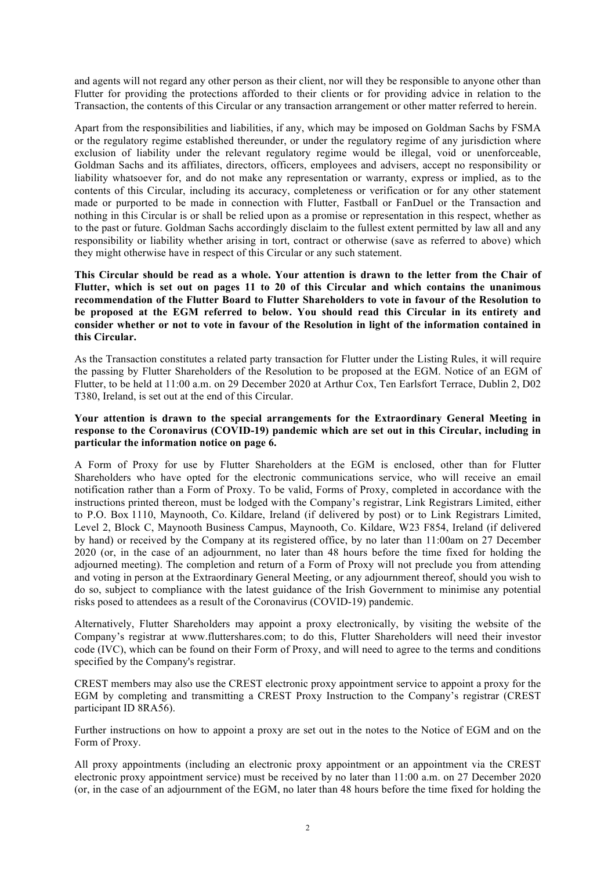and agents will not regard any other person as their client, nor will they be responsible to anyone other than Flutter for providing the protections afforded to their clients or for providing advice in relation to the Transaction, the contents of this Circular or any transaction arrangement or other matter referred to herein.

Apart from the responsibilities and liabilities, if any, which may be imposed on Goldman Sachs by FSMA or the regulatory regime established thereunder, or under the regulatory regime of any jurisdiction where exclusion of liability under the relevant regulatory regime would be illegal, void or unenforceable, Goldman Sachs and its affiliates, directors, officers, employees and advisers, accept no responsibility or liability whatsoever for, and do not make any representation or warranty, express or implied, as to the contents of this Circular, including its accuracy, completeness or verification or for any other statement made or purported to be made in connection with Flutter, Fastball or FanDuel or the Transaction and nothing in this Circular is or shall be relied upon as a promise or representation in this respect, whether as to the past or future. Goldman Sachs accordingly disclaim to the fullest extent permitted by law all and any responsibility or liability whether arising in tort, contract or otherwise (save as referred to above) which they might otherwise have in respect of this Circular or any such statement.

**This Circular should be read as a whole. Your attention is drawn to the letter from the Chair of Flutter, which is set out on pages 11 to 20 of this Circular and which contains the unanimous recommendation of the Flutter Board to Flutter Shareholders to vote in favour of the Resolution to be proposed at the EGM referred to below. You should read this Circular in its entirety and consider whether or not to vote in favour of the Resolution in light of the information contained in this Circular.**

As the Transaction constitutes a related party transaction for Flutter under the Listing Rules, it will require the passing by Flutter Shareholders of the Resolution to be proposed at the EGM. Notice of an EGM of Flutter, to be held at 11:00 a.m. on 29 December 2020 at Arthur Cox, Ten Earlsfort Terrace, Dublin 2, D02 T380, Ireland, is set out at the end of this Circular.

#### **Your attention is drawn to the special arrangements for the Extraordinary General Meeting in response to the Coronavirus (COVID-19) pandemic which are set out in this Circular, including in particular the information notice on page 6.**

A Form of Proxy for use by Flutter Shareholders at the EGM is enclosed, other than for Flutter Shareholders who have opted for the electronic communications service, who will receive an email notification rather than a Form of Proxy. To be valid, Forms of Proxy, completed in accordance with the instructions printed thereon, must be lodged with the Company's registrar, Link Registrars Limited, either to P.O. Box 1110, Maynooth, Co. Kildare, Ireland (if delivered by post) or to Link Registrars Limited, Level 2, Block C, Maynooth Business Campus, Maynooth, Co. Kildare, W23 F854, Ireland (if delivered by hand) or received by the Company at its registered office, by no later than 11:00am on 27 December 2020 (or, in the case of an adjournment, no later than 48 hours before the time fixed for holding the adjourned meeting). The completion and return of a Form of Proxy will not preclude you from attending and voting in person at the Extraordinary General Meeting, or any adjournment thereof, should you wish to do so, subject to compliance with the latest guidance of the Irish Government to minimise any potential risks posed to attendees as a result of the Coronavirus (COVID-19) pandemic.

Alternatively, Flutter Shareholders may appoint a proxy electronically, by visiting the website of the Company's registrar at www.fluttershares.com; to do this, Flutter Shareholders will need their investor code (IVC), which can be found on their Form of Proxy, and will need to agree to the terms and conditions specified by the Company's registrar.

CREST members may also use the CREST electronic proxy appointment service to appoint a proxy for the EGM by completing and transmitting a CREST Proxy Instruction to the Company's registrar (CREST participant ID 8RA56).

Further instructions on how to appoint a proxy are set out in the notes to the Notice of EGM and on the Form of Proxy.

All proxy appointments (including an electronic proxy appointment or an appointment via the CREST electronic proxy appointment service) must be received by no later than 11:00 a.m. on 27 December 2020 (or, in the case of an adjournment of the EGM, no later than 48 hours before the time fixed for holding the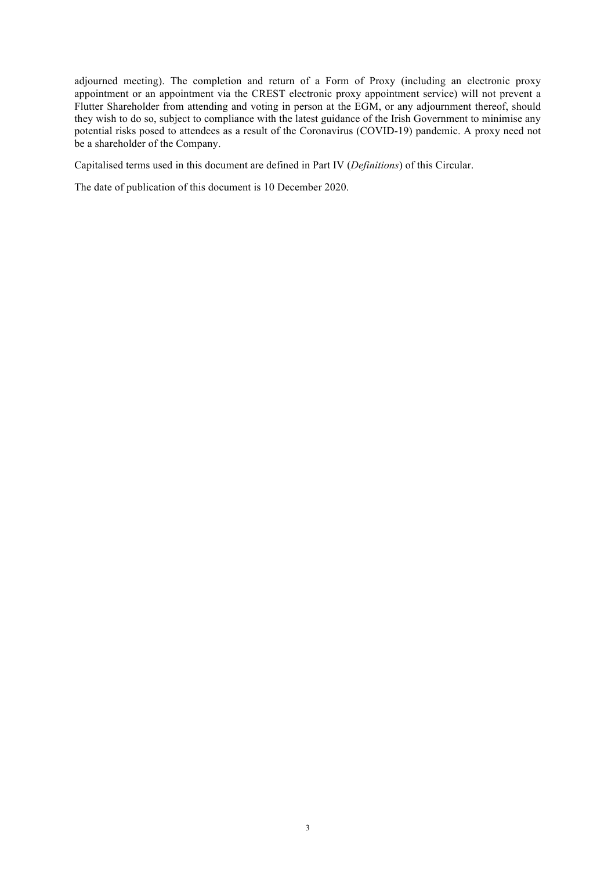adjourned meeting). The completion and return of a Form of Proxy (including an electronic proxy appointment or an appointment via the CREST electronic proxy appointment service) will not prevent a Flutter Shareholder from attending and voting in person at the EGM, or any adjournment thereof, should they wish to do so, subject to compliance with the latest guidance of the Irish Government to minimise any potential risks posed to attendees as a result of the Coronavirus (COVID-19) pandemic. A proxy need not be a shareholder of the Company.

Capitalised terms used in this document are defined in Part IV (*Definitions*) of this Circular.

The date of publication of this document is 10 December 2020.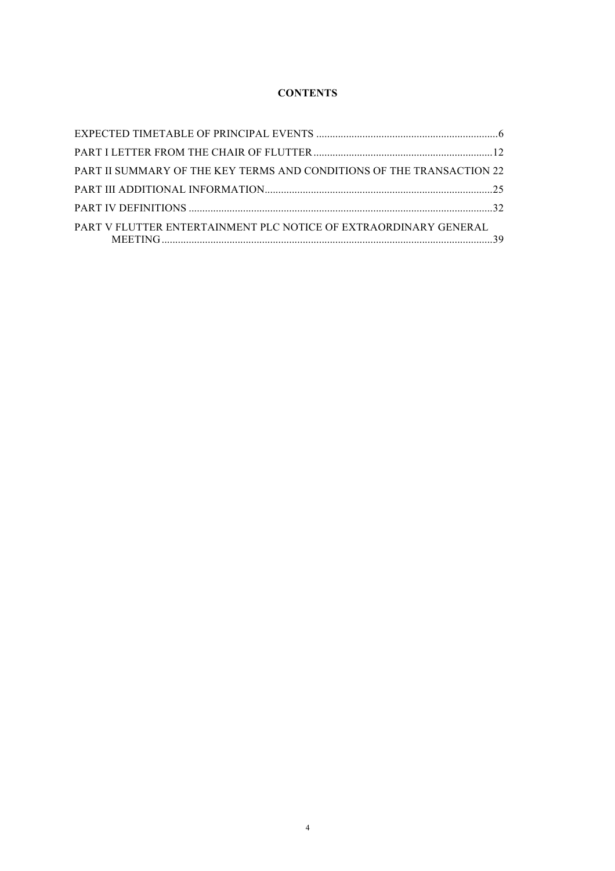# **CONTENTS**

| PART II SUMMARY OF THE KEY TERMS AND CONDITIONS OF THE TRANSACTION 22 |  |
|-----------------------------------------------------------------------|--|
|                                                                       |  |
|                                                                       |  |
| PART V FLUTTER ENTERTAINMENT PLC NOTICE OF EXTRAORDINARY GENERAL      |  |
|                                                                       |  |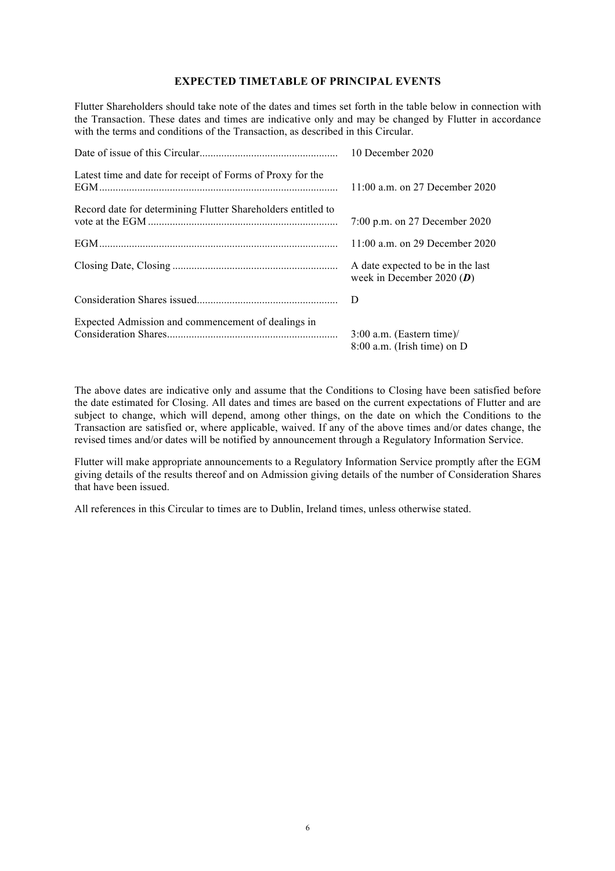#### **EXPECTED TIMETABLE OF PRINCIPAL EVENTS**

Flutter Shareholders should take note of the dates and times set forth in the table below in connection with the Transaction. These dates and times are indicative only and may be changed by Flutter in accordance with the terms and conditions of the Transaction, as described in this Circular.

|                                                              | 10 December 2020                                                 |
|--------------------------------------------------------------|------------------------------------------------------------------|
| Latest time and date for receipt of Forms of Proxy for the   | 11:00 a.m. on 27 December 2020                                   |
| Record date for determining Flutter Shareholders entitled to | 7:00 p.m. on 27 December 2020                                    |
|                                                              | 11:00 a.m. on 29 December 2020                                   |
|                                                              | A date expected to be in the last<br>week in December 2020 $(D)$ |
|                                                              | D                                                                |
| Expected Admission and commencement of dealings in           | $3:00$ a.m. (Eastern time)/<br>$8:00$ a.m. (Irish time) on D     |

The above dates are indicative only and assume that the Conditions to Closing have been satisfied before the date estimated for Closing. All dates and times are based on the current expectations of Flutter and are subject to change, which will depend, among other things, on the date on which the Conditions to the Transaction are satisfied or, where applicable, waived. If any of the above times and/or dates change, the revised times and/or dates will be notified by announcement through a Regulatory Information Service.

Flutter will make appropriate announcements to a Regulatory Information Service promptly after the EGM giving details of the results thereof and on Admission giving details of the number of Consideration Shares that have been issued.

All references in this Circular to times are to Dublin, Ireland times, unless otherwise stated.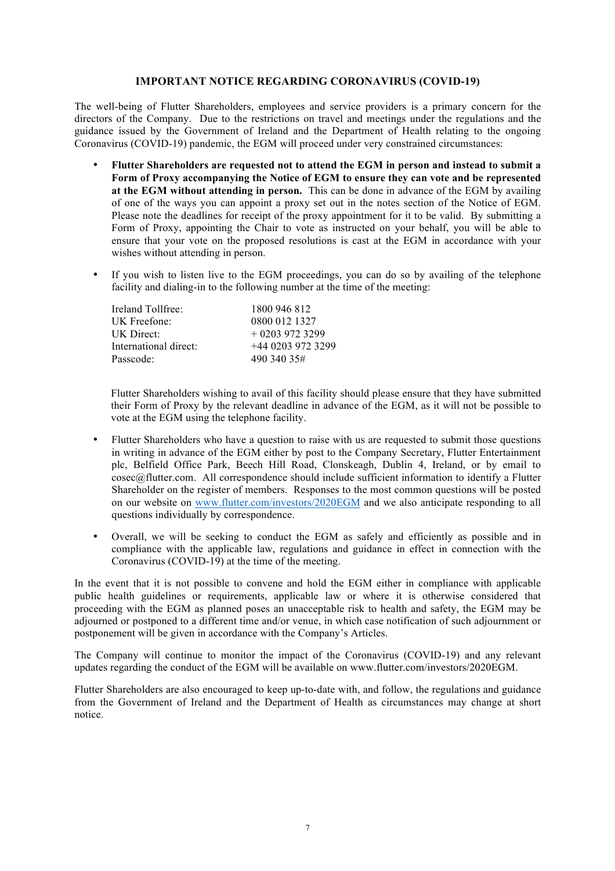#### **IMPORTANT NOTICE REGARDING CORONAVIRUS (COVID-19)**

The well-being of Flutter Shareholders, employees and service providers is a primary concern for the directors of the Company. Due to the restrictions on travel and meetings under the regulations and the guidance issued by the Government of Ireland and the Department of Health relating to the ongoing Coronavirus (COVID-19) pandemic, the EGM will proceed under very constrained circumstances:

- **Flutter Shareholders are requested not to attend the EGM in person and instead to submit a Form of Proxy accompanying the Notice of EGM to ensure they can vote and be represented at the EGM without attending in person.** This can be done in advance of the EGM by availing of one of the ways you can appoint a proxy set out in the notes section of the Notice of EGM. Please note the deadlines for receipt of the proxy appointment for it to be valid. By submitting a Form of Proxy, appointing the Chair to vote as instructed on your behalf, you will be able to ensure that your vote on the proposed resolutions is cast at the EGM in accordance with your wishes without attending in person.
- If you wish to listen live to the EGM proceedings, you can do so by availing of the telephone facility and dialing-in to the following number at the time of the meeting:

| 1800 946 812     |
|------------------|
| 0800 012 1327    |
| $+02039723299$   |
| $+4402039723299$ |
| 490 340 35#      |
|                  |

Flutter Shareholders wishing to avail of this facility should please ensure that they have submitted their Form of Proxy by the relevant deadline in advance of the EGM, as it will not be possible to vote at the EGM using the telephone facility.

- Flutter Shareholders who have a question to raise with us are requested to submit those questions in writing in advance of the EGM either by post to the Company Secretary, Flutter Entertainment plc, Belfield Office Park, Beech Hill Road, Clonskeagh, Dublin 4, Ireland, or by email to cosec@flutter.com. All correspondence should include sufficient information to identify a Flutter Shareholder on the register of members. Responses to the most common questions will be posted on our website on www.flutter.com/investors/2020EGM and we also anticipate responding to all questions individually by correspondence.
- Overall, we will be seeking to conduct the EGM as safely and efficiently as possible and in compliance with the applicable law, regulations and guidance in effect in connection with the Coronavirus (COVID-19) at the time of the meeting.

In the event that it is not possible to convene and hold the EGM either in compliance with applicable public health guidelines or requirements, applicable law or where it is otherwise considered that proceeding with the EGM as planned poses an unacceptable risk to health and safety, the EGM may be adjourned or postponed to a different time and/or venue, in which case notification of such adjournment or postponement will be given in accordance with the Company's Articles.

The Company will continue to monitor the impact of the Coronavirus (COVID-19) and any relevant updates regarding the conduct of the EGM will be available on www.flutter.com/investors/2020EGM.

Flutter Shareholders are also encouraged to keep up-to-date with, and follow, the regulations and guidance from the Government of Ireland and the Department of Health as circumstances may change at short notice.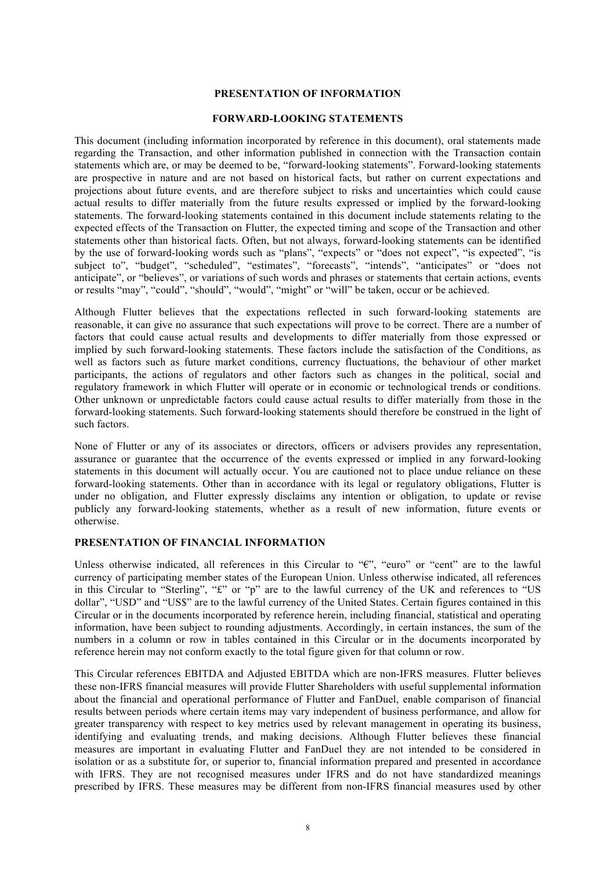#### **PRESENTATION OF INFORMATION**

#### **FORWARD-LOOKING STATEMENTS**

This document (including information incorporated by reference in this document), oral statements made regarding the Transaction, and other information published in connection with the Transaction contain statements which are, or may be deemed to be, "forward-looking statements". Forward-looking statements are prospective in nature and are not based on historical facts, but rather on current expectations and projections about future events, and are therefore subject to risks and uncertainties which could cause actual results to differ materially from the future results expressed or implied by the forward-looking statements. The forward-looking statements contained in this document include statements relating to the expected effects of the Transaction on Flutter, the expected timing and scope of the Transaction and other statements other than historical facts. Often, but not always, forward-looking statements can be identified by the use of forward-looking words such as "plans", "expects" or "does not expect", "is expected", "is subject to", "budget", "scheduled", "estimates", "forecasts", "intends", "anticipates" or "does not anticipate", or "believes", or variations of such words and phrases or statements that certain actions, events or results "may", "could", "should", "would", "might" or "will" be taken, occur or be achieved.

Although Flutter believes that the expectations reflected in such forward-looking statements are reasonable, it can give no assurance that such expectations will prove to be correct. There are a number of factors that could cause actual results and developments to differ materially from those expressed or implied by such forward-looking statements. These factors include the satisfaction of the Conditions, as well as factors such as future market conditions, currency fluctuations, the behaviour of other market participants, the actions of regulators and other factors such as changes in the political, social and regulatory framework in which Flutter will operate or in economic or technological trends or conditions. Other unknown or unpredictable factors could cause actual results to differ materially from those in the forward-looking statements. Such forward-looking statements should therefore be construed in the light of such factors.

None of Flutter or any of its associates or directors, officers or advisers provides any representation, assurance or guarantee that the occurrence of the events expressed or implied in any forward-looking statements in this document will actually occur. You are cautioned not to place undue reliance on these forward-looking statements. Other than in accordance with its legal or regulatory obligations, Flutter is under no obligation, and Flutter expressly disclaims any intention or obligation, to update or revise publicly any forward-looking statements, whether as a result of new information, future events or otherwise.

# **PRESENTATION OF FINANCIAL INFORMATION**

Unless otherwise indicated, all references in this Circular to "€", "euro" or "cent" are to the lawful currency of participating member states of the European Union. Unless otherwise indicated, all references in this Circular to "Sterling", "£" or "p" are to the lawful currency of the UK and references to "US dollar", "USD" and "US\$" are to the lawful currency of the United States. Certain figures contained in this Circular or in the documents incorporated by reference herein, including financial, statistical and operating information, have been subject to rounding adjustments. Accordingly, in certain instances, the sum of the numbers in a column or row in tables contained in this Circular or in the documents incorporated by reference herein may not conform exactly to the total figure given for that column or row.

This Circular references EBITDA and Adjusted EBITDA which are non-IFRS measures. Flutter believes these non-IFRS financial measures will provide Flutter Shareholders with useful supplemental information about the financial and operational performance of Flutter and FanDuel, enable comparison of financial results between periods where certain items may vary independent of business performance, and allow for greater transparency with respect to key metrics used by relevant management in operating its business, identifying and evaluating trends, and making decisions. Although Flutter believes these financial measures are important in evaluating Flutter and FanDuel they are not intended to be considered in isolation or as a substitute for, or superior to, financial information prepared and presented in accordance with IFRS. They are not recognised measures under IFRS and do not have standardized meanings prescribed by IFRS. These measures may be different from non-IFRS financial measures used by other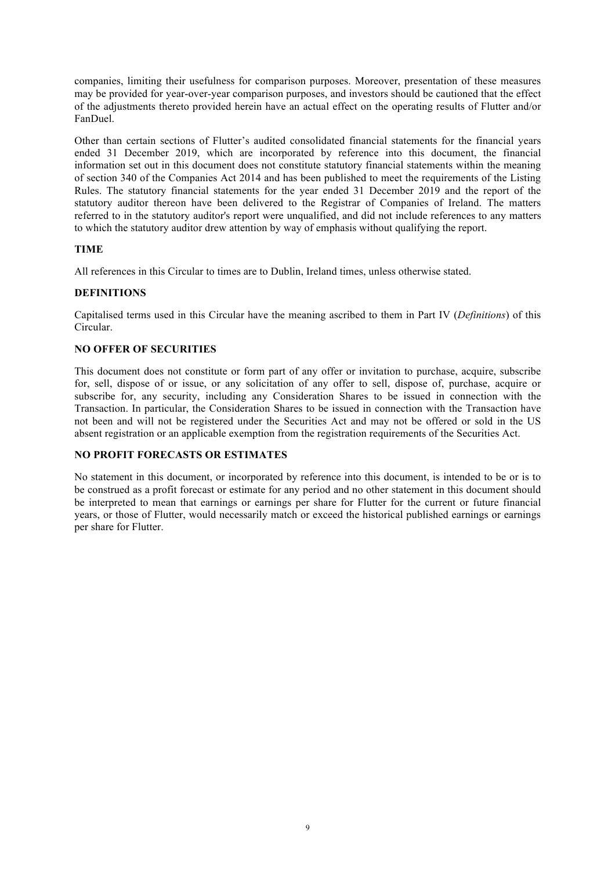companies, limiting their usefulness for comparison purposes. Moreover, presentation of these measures may be provided for year-over-year comparison purposes, and investors should be cautioned that the effect of the adjustments thereto provided herein have an actual effect on the operating results of Flutter and/or FanDuel.

Other than certain sections of Flutter's audited consolidated financial statements for the financial years ended 31 December 2019, which are incorporated by reference into this document, the financial information set out in this document does not constitute statutory financial statements within the meaning of section 340 of the Companies Act 2014 and has been published to meet the requirements of the Listing Rules. The statutory financial statements for the year ended 31 December 2019 and the report of the statutory auditor thereon have been delivered to the Registrar of Companies of Ireland. The matters referred to in the statutory auditor's report were unqualified, and did not include references to any matters to which the statutory auditor drew attention by way of emphasis without qualifying the report.

# **TIME**

All references in this Circular to times are to Dublin, Ireland times, unless otherwise stated.

#### **DEFINITIONS**

Capitalised terms used in this Circular have the meaning ascribed to them in Part IV (*Definitions*) of this Circular.

#### **NO OFFER OF SECURITIES**

This document does not constitute or form part of any offer or invitation to purchase, acquire, subscribe for, sell, dispose of or issue, or any solicitation of any offer to sell, dispose of, purchase, acquire or subscribe for, any security, including any Consideration Shares to be issued in connection with the Transaction. In particular, the Consideration Shares to be issued in connection with the Transaction have not been and will not be registered under the Securities Act and may not be offered or sold in the US absent registration or an applicable exemption from the registration requirements of the Securities Act.

#### **NO PROFIT FORECASTS OR ESTIMATES**

No statement in this document, or incorporated by reference into this document, is intended to be or is to be construed as a profit forecast or estimate for any period and no other statement in this document should be interpreted to mean that earnings or earnings per share for Flutter for the current or future financial years, or those of Flutter, would necessarily match or exceed the historical published earnings or earnings per share for Flutter.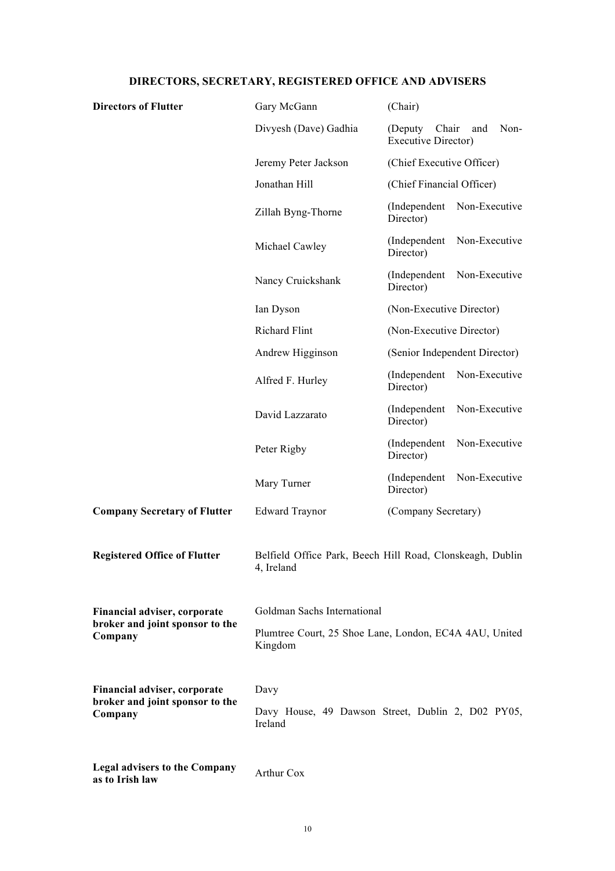# **DIRECTORS, SECRETARY, REGISTERED OFFICE AND ADVISERS**

| <b>Directors of Flutter</b>                             | Gary McGann                                                             | (Chair)                                                        |  |  |
|---------------------------------------------------------|-------------------------------------------------------------------------|----------------------------------------------------------------|--|--|
|                                                         | Divyesh (Dave) Gadhia                                                   | Chair<br>Non-<br>(Deputy)<br>and<br><b>Executive Director)</b> |  |  |
|                                                         | Jeremy Peter Jackson                                                    | (Chief Executive Officer)                                      |  |  |
|                                                         | Jonathan Hill                                                           | (Chief Financial Officer)                                      |  |  |
|                                                         | Zillah Byng-Thorne                                                      | (Independent<br>Non-Executive<br>Director)                     |  |  |
|                                                         | Michael Cawley                                                          | (Independent<br>Non-Executive<br>Director)                     |  |  |
|                                                         | Nancy Cruickshank                                                       | (Independent<br>Non-Executive<br>Director)                     |  |  |
|                                                         | Ian Dyson                                                               | (Non-Executive Director)                                       |  |  |
|                                                         | <b>Richard Flint</b>                                                    | (Non-Executive Director)                                       |  |  |
|                                                         | Andrew Higginson                                                        | (Senior Independent Director)                                  |  |  |
|                                                         | Alfred F. Hurley                                                        | Non-Executive<br>(Independent)<br>Director)                    |  |  |
|                                                         | David Lazzarato                                                         | (Independent<br>Non-Executive<br>Director)                     |  |  |
|                                                         | Peter Rigby                                                             | (Independent<br>Non-Executive<br>Director)                     |  |  |
|                                                         | Mary Turner                                                             | (Independent<br>Non-Executive<br>Director)                     |  |  |
| <b>Company Secretary of Flutter</b>                     | <b>Edward Traynor</b>                                                   | (Company Secretary)                                            |  |  |
| <b>Registered Office of Flutter</b>                     | Belfield Office Park, Beech Hill Road, Clonskeagh, Dublin<br>4, Ireland |                                                                |  |  |
| Financial adviser, corporate                            | Goldman Sachs International                                             |                                                                |  |  |
| broker and joint sponsor to the<br>Company              | Plumtree Court, 25 Shoe Lane, London, EC4A 4AU, United<br>Kingdom       |                                                                |  |  |
| Financial adviser, corporate                            | Davy                                                                    |                                                                |  |  |
| broker and joint sponsor to the<br>Company              | Davy House, 49 Dawson Street, Dublin 2, D02 PY05,<br>Ireland            |                                                                |  |  |
| <b>Legal advisers to the Company</b><br>as to Irish law | Arthur Cox                                                              |                                                                |  |  |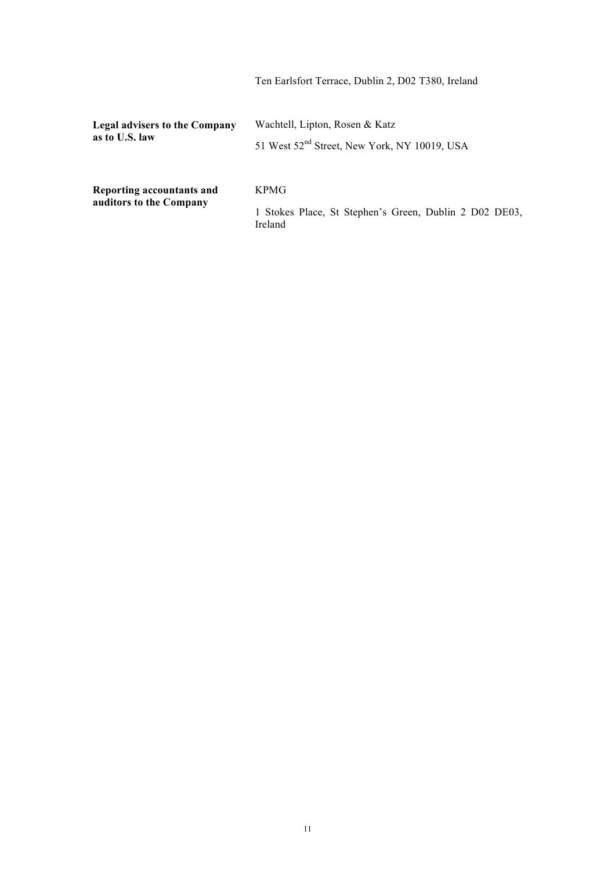|                                                 | Ten Earlsfort Terrace, Dublin 2, D02 T380, Ireland                                         |
|-------------------------------------------------|--------------------------------------------------------------------------------------------|
| Legal advisers to the Company<br>as to U.S. law | Wachtell, Lipton, Rosen & Katz<br>51 West 52 <sup>nd</sup> Street, New York, NY 10019, USA |
| Reporting accountants and                       | <b>KPMG</b>                                                                                |
| auditors to the Company                         | 1 Stokes Place, St Stephen's Green, Dublin 2 D02 DE03,<br>Ireland                          |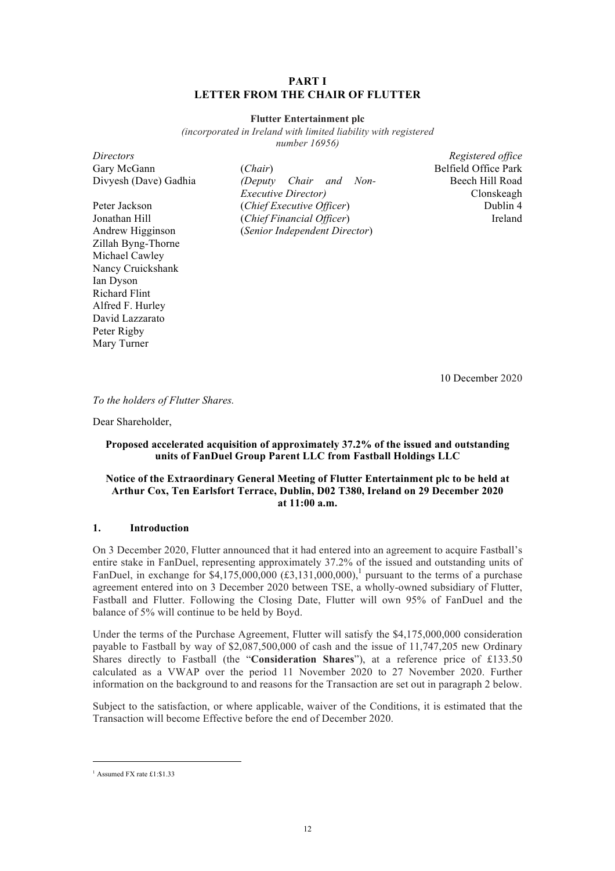#### **PART I LETTER FROM THE CHAIR OF FLUTTER**

#### **Flutter Entertainment plc**

*(incorporated in Ireland with limited liability with registered number 16956)*

| Gary McGann           |
|-----------------------|
| Divyesh (Dave) Gadhia |
|                       |
| Peter Jackson         |
| Jonathan Hill         |
| Andrew Higginson      |
| Zillah Byng-Thorne    |
| Michael Cawley        |
| Nancy Cruickshank     |
| Ian Dyson             |
| Richard Flint         |
| Alfred F. Hurley      |
| David Lazzarato       |
| Peter Rigby           |
| Mary Turner           |
|                       |

(*Chair*) Belfield Office Park (Deputy Chair and Non-*Executive Director)* (*Chief Executive Officer*) Dublin 4 (*Chief Financial Officer*) Ireland Andrew Higginson (*Senior Independent Director*)

*Directors Registered office* Beech Hill Road Clonskeagh

10 December 2020

*To the holders of Flutter Shares.*

Dear Shareholder,

#### **Proposed accelerated acquisition of approximately 37.2% of the issued and outstanding units of FanDuel Group Parent LLC from Fastball Holdings LLC**

#### **Notice of the Extraordinary General Meeting of Flutter Entertainment plc to be held at Arthur Cox, Ten Earlsfort Terrace, Dublin, D02 T380, Ireland on 29 December 2020 at 11:00 a.m.**

#### **1. Introduction**

On 3 December 2020, Flutter announced that it had entered into an agreement to acquire Fastball's entire stake in FanDuel, representing approximately 37.2% of the issued and outstanding units of FanDuel, in exchange for \$4,175,000,000  $(\text{\textsterling}3,131,000,000)$ ,<sup>1</sup> pursuant to the terms of a purchase agreement entered into on 3 December 2020 between TSE, a wholly-owned subsidiary of Flutter, Fastball and Flutter. Following the Closing Date, Flutter will own 95% of FanDuel and the balance of 5% will continue to be held by Boyd.

Under the terms of the Purchase Agreement, Flutter will satisfy the \$4,175,000,000 consideration payable to Fastball by way of \$2,087,500,000 of cash and the issue of 11,747,205 new Ordinary Shares directly to Fastball (the "**Consideration Shares**"), at a reference price of £133.50 calculated as a VWAP over the period 11 November 2020 to 27 November 2020. Further information on the background to and reasons for the Transaction are set out in paragraph 2 below.

Subject to the satisfaction, or where applicable, waiver of the Conditions, it is estimated that the Transaction will become Effective before the end of December 2020.

 <sup>1</sup> Assumed FX rate £1:\$1.33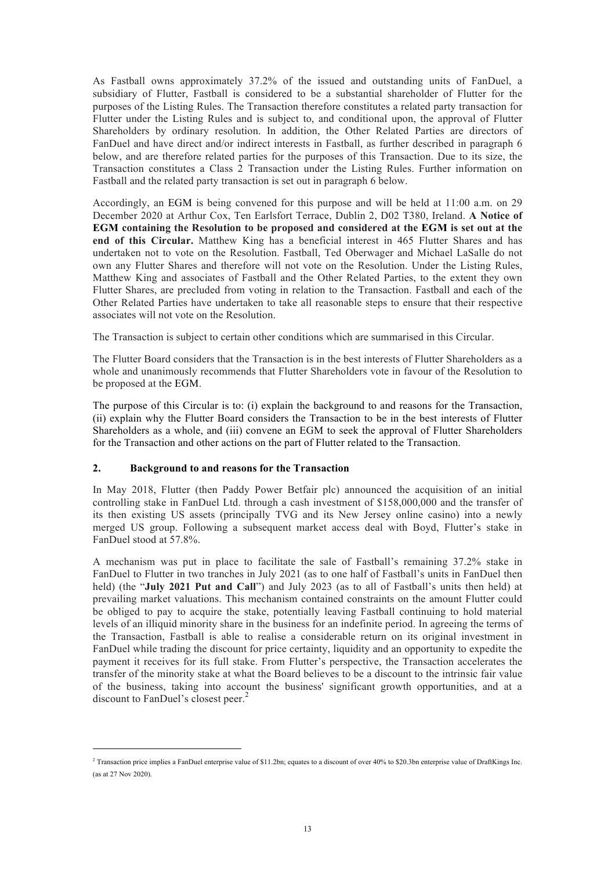As Fastball owns approximately 37.2% of the issued and outstanding units of FanDuel, a subsidiary of Flutter, Fastball is considered to be a substantial shareholder of Flutter for the purposes of the Listing Rules. The Transaction therefore constitutes a related party transaction for Flutter under the Listing Rules and is subject to, and conditional upon, the approval of Flutter Shareholders by ordinary resolution. In addition, the Other Related Parties are directors of FanDuel and have direct and/or indirect interests in Fastball, as further described in paragraph 6 below, and are therefore related parties for the purposes of this Transaction. Due to its size, the Transaction constitutes a Class 2 Transaction under the Listing Rules. Further information on Fastball and the related party transaction is set out in paragraph 6 below.

Accordingly, an EGM is being convened for this purpose and will be held at 11:00 a.m. on 29 December 2020 at Arthur Cox, Ten Earlsfort Terrace, Dublin 2, D02 T380, Ireland. **A Notice of EGM containing the Resolution to be proposed and considered at the EGM is set out at the end of this Circular.** Matthew King has a beneficial interest in 465 Flutter Shares and has undertaken not to vote on the Resolution. Fastball, Ted Oberwager and Michael LaSalle do not own any Flutter Shares and therefore will not vote on the Resolution. Under the Listing Rules, Matthew King and associates of Fastball and the Other Related Parties, to the extent they own Flutter Shares, are precluded from voting in relation to the Transaction. Fastball and each of the Other Related Parties have undertaken to take all reasonable steps to ensure that their respective associates will not vote on the Resolution.

The Transaction is subject to certain other conditions which are summarised in this Circular.

The Flutter Board considers that the Transaction is in the best interests of Flutter Shareholders as a whole and unanimously recommends that Flutter Shareholders vote in favour of the Resolution to be proposed at the EGM.

The purpose of this Circular is to: (i) explain the background to and reasons for the Transaction, (ii) explain why the Flutter Board considers the Transaction to be in the best interests of Flutter Shareholders as a whole, and (iii) convene an EGM to seek the approval of Flutter Shareholders for the Transaction and other actions on the part of Flutter related to the Transaction.

# **2. Background to and reasons for the Transaction**

In May 2018, Flutter (then Paddy Power Betfair plc) announced the acquisition of an initial controlling stake in FanDuel Ltd. through a cash investment of \$158,000,000 and the transfer of its then existing US assets (principally TVG and its New Jersey online casino) into a newly merged US group. Following a subsequent market access deal with Boyd, Flutter's stake in FanDuel stood at 57.8%.

A mechanism was put in place to facilitate the sale of Fastball's remaining 37.2% stake in FanDuel to Flutter in two tranches in July 2021 (as to one half of Fastball's units in FanDuel then held) (the "**July 2021 Put and Call**") and July 2023 (as to all of Fastball's units then held) at prevailing market valuations. This mechanism contained constraints on the amount Flutter could be obliged to pay to acquire the stake, potentially leaving Fastball continuing to hold material levels of an illiquid minority share in the business for an indefinite period. In agreeing the terms of the Transaction, Fastball is able to realise a considerable return on its original investment in FanDuel while trading the discount for price certainty, liquidity and an opportunity to expedite the payment it receives for its full stake. From Flutter's perspective, the Transaction accelerates the transfer of the minority stake at what the Board believes to be a discount to the intrinsic fair value of the business, taking into account the business' significant growth opportunities, and at a discount to FanDuel's closest peer.<sup>2</sup>

 $\overline{1}$ <sup>2</sup> Transaction price implies a FanDuel enterprise value of \$11.2bn; equates to a discount of over 40% to \$20.3bn enterprise value of DraftKings Inc. (as at 27 Nov 2020).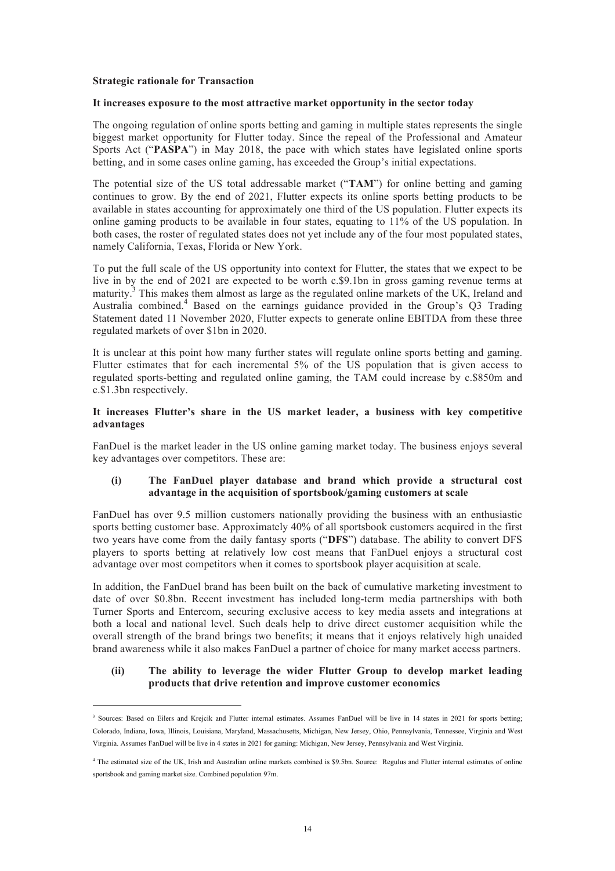#### **Strategic rationale for Transaction**

#### **It increases exposure to the most attractive market opportunity in the sector today**

The ongoing regulation of online sports betting and gaming in multiple states represents the single biggest market opportunity for Flutter today. Since the repeal of the Professional and Amateur Sports Act ("**PASPA**") in May 2018, the pace with which states have legislated online sports betting, and in some cases online gaming, has exceeded the Group's initial expectations.

The potential size of the US total addressable market ("**TAM**") for online betting and gaming continues to grow. By the end of 2021, Flutter expects its online sports betting products to be available in states accounting for approximately one third of the US population. Flutter expects its online gaming products to be available in four states, equating to 11% of the US population. In both cases, the roster of regulated states does not yet include any of the four most populated states, namely California, Texas, Florida or New York.

To put the full scale of the US opportunity into context for Flutter, the states that we expect to be live in by the end of 2021 are expected to be worth c.\$9.1bn in gross gaming revenue terms at maturity.<sup>3</sup> This makes them almost as large as the regulated online markets of the UK, Ireland and Australia combined. 4 Based on the earnings guidance provided in the Group's Q3 Trading Statement dated 11 November 2020, Flutter expects to generate online EBITDA from these three regulated markets of over \$1bn in 2020.

It is unclear at this point how many further states will regulate online sports betting and gaming. Flutter estimates that for each incremental 5% of the US population that is given access to regulated sports-betting and regulated online gaming, the TAM could increase by c.\$850m and c.\$1.3bn respectively.

#### **It increases Flutter's share in the US market leader, a business with key competitive advantages**

FanDuel is the market leader in the US online gaming market today. The business enjoys several key advantages over competitors. These are:

#### **(i) The FanDuel player database and brand which provide a structural cost advantage in the acquisition of sportsbook/gaming customers at scale**

FanDuel has over 9.5 million customers nationally providing the business with an enthusiastic sports betting customer base. Approximately 40% of all sportsbook customers acquired in the first two years have come from the daily fantasy sports ("**DFS**") database. The ability to convert DFS players to sports betting at relatively low cost means that FanDuel enjoys a structural cost advantage over most competitors when it comes to sportsbook player acquisition at scale.

In addition, the FanDuel brand has been built on the back of cumulative marketing investment to date of over \$0.8bn. Recent investment has included long-term media partnerships with both Turner Sports and Entercom, securing exclusive access to key media assets and integrations at both a local and national level. Such deals help to drive direct customer acquisition while the overall strength of the brand brings two benefits; it means that it enjoys relatively high unaided brand awareness while it also makes FanDuel a partner of choice for many market access partners.

#### **(ii) The ability to leverage the wider Flutter Group to develop market leading products that drive retention and improve customer economics**

<sup>-&</sup>lt;br>3 <sup>3</sup> Sources: Based on Eilers and Krejcik and Flutter internal estimates. Assumes FanDuel will be live in 14 states in 2021 for sports betting; Colorado, Indiana, Iowa, Illinois, Louisiana, Maryland, Massachusetts, Michigan, New Jersey, Ohio, Pennsylvania, Tennessee, Virginia and West Virginia. Assumes FanDuel will be live in 4 states in 2021 for gaming: Michigan, New Jersey, Pennsylvania and West Virginia.

<sup>4</sup> The estimated size of the UK, Irish and Australian online markets combined is \$9.5bn. Source: Regulus and Flutter internal estimates of online sportsbook and gaming market size. Combined population 97m.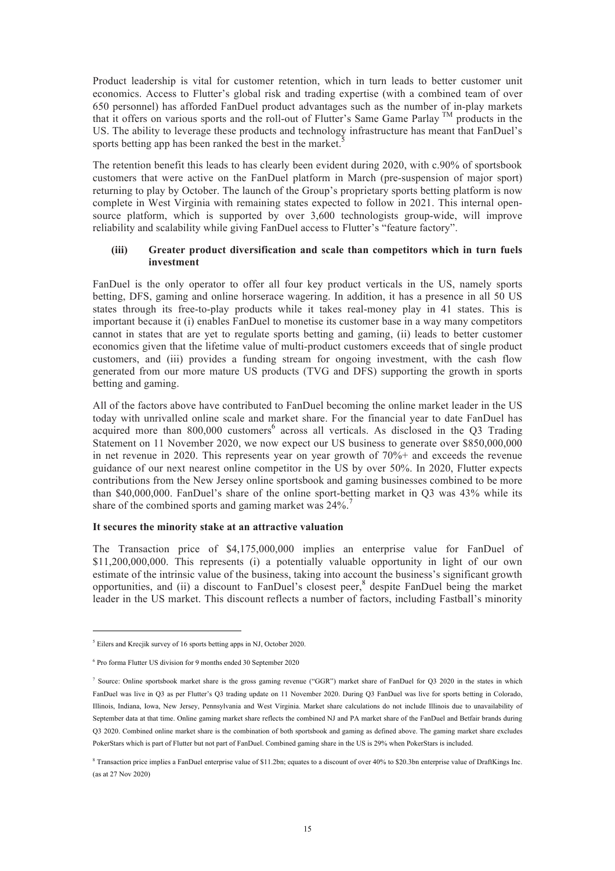Product leadership is vital for customer retention, which in turn leads to better customer unit economics. Access to Flutter's global risk and trading expertise (with a combined team of over 650 personnel) has afforded FanDuel product advantages such as the number of in-play markets that it offers on various sports and the roll-out of Flutter's Same Game Parlay TM products in the US. The ability to leverage these products and technology infrastructure has meant that FanDuel's sports betting app has been ranked the best in the market.<sup>5</sup>

The retention benefit this leads to has clearly been evident during 2020, with c.90% of sportsbook customers that were active on the FanDuel platform in March (pre-suspension of major sport) returning to play by October. The launch of the Group's proprietary sports betting platform is now complete in West Virginia with remaining states expected to follow in 2021. This internal opensource platform, which is supported by over 3,600 technologists group-wide, will improve reliability and scalability while giving FanDuel access to Flutter's "feature factory".

#### **(iii) Greater product diversification and scale than competitors which in turn fuels investment**

FanDuel is the only operator to offer all four key product verticals in the US, namely sports betting, DFS, gaming and online horserace wagering. In addition, it has a presence in all 50 US states through its free-to-play products while it takes real-money play in 41 states. This is important because it (i) enables FanDuel to monetise its customer base in a way many competitors cannot in states that are yet to regulate sports betting and gaming, (ii) leads to better customer economics given that the lifetime value of multi-product customers exceeds that of single product customers, and (iii) provides a funding stream for ongoing investment, with the cash flow generated from our more mature US products (TVG and DFS) supporting the growth in sports betting and gaming.

All of the factors above have contributed to FanDuel becoming the online market leader in the US today with unrivalled online scale and market share. For the financial year to date FanDuel has acquired more than 800,000 customers<sup>6</sup> across all verticals. As disclosed in the Q3 Trading Statement on 11 November 2020, we now expect our US business to generate over \$850,000,000 in net revenue in 2020. This represents year on year growth of 70%+ and exceeds the revenue guidance of our next nearest online competitor in the US by over 50%. In 2020, Flutter expects contributions from the New Jersey online sportsbook and gaming businesses combined to be more than \$40,000,000. FanDuel's share of the online sport-betting market in Q3 was 43% while its share of the combined sports and gaming market was 24%.<sup>7</sup>

#### **It secures the minority stake at an attractive valuation**

The Transaction price of \$4,175,000,000 implies an enterprise value for FanDuel of \$11,200,000,000. This represents (i) a potentially valuable opportunity in light of our own estimate of the intrinsic value of the business, taking into account the business's significant growth opportunities, and (ii) a discount to FanDuel's closest peer, 8 despite FanDuel being the market leader in the US market. This discount reflects a number of factors, including Fastball's minority

 <sup>5</sup> Eilers and Krecjik survey of 16 sports betting apps in NJ, October 2020.

<sup>6</sup> Pro forma Flutter US division for 9 months ended 30 September 2020

<sup>&</sup>lt;sup>7</sup> Source: Online sportsbook market share is the gross gaming revenue ("GGR") market share of FanDuel for Q3 2020 in the states in which FanDuel was live in Q3 as per Flutter's Q3 trading update on 11 November 2020. During Q3 FanDuel was live for sports betting in Colorado, Illinois, Indiana, Iowa, New Jersey, Pennsylvania and West Virginia. Market share calculations do not include Illinois due to unavailability of September data at that time. Online gaming market share reflects the combined NJ and PA market share of the FanDuel and Betfair brands during Q3 2020. Combined online market share is the combination of both sportsbook and gaming as defined above. The gaming market share excludes PokerStars which is part of Flutter but not part of FanDuel. Combined gaming share in the US is 29% when PokerStars is included.

<sup>8</sup> Transaction price implies a FanDuel enterprise value of \$11.2bn; equates to a discount of over 40% to \$20.3bn enterprise value of DraftKings Inc. (as at 27 Nov 2020)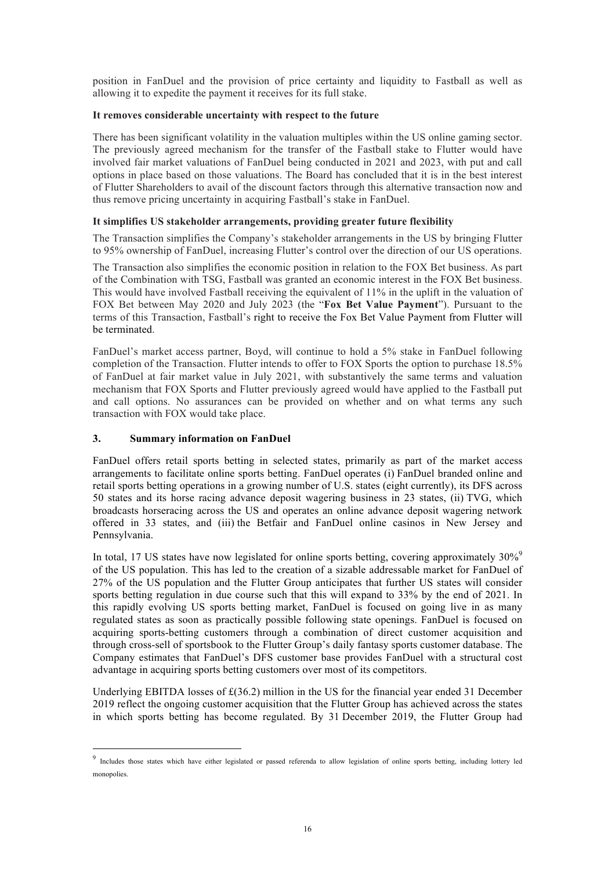position in FanDuel and the provision of price certainty and liquidity to Fastball as well as allowing it to expedite the payment it receives for its full stake.

#### **It removes considerable uncertainty with respect to the future**

There has been significant volatility in the valuation multiples within the US online gaming sector. The previously agreed mechanism for the transfer of the Fastball stake to Flutter would have involved fair market valuations of FanDuel being conducted in 2021 and 2023, with put and call options in place based on those valuations. The Board has concluded that it is in the best interest of Flutter Shareholders to avail of the discount factors through this alternative transaction now and thus remove pricing uncertainty in acquiring Fastball's stake in FanDuel.

# **It simplifies US stakeholder arrangements, providing greater future flexibility**

The Transaction simplifies the Company's stakeholder arrangements in the US by bringing Flutter to 95% ownership of FanDuel, increasing Flutter's control over the direction of our US operations.

The Transaction also simplifies the economic position in relation to the FOX Bet business. As part of the Combination with TSG, Fastball was granted an economic interest in the FOX Bet business. This would have involved Fastball receiving the equivalent of 11% in the uplift in the valuation of FOX Bet between May 2020 and July 2023 (the "**Fox Bet Value Payment**"). Pursuant to the terms of this Transaction, Fastball's right to receive the Fox Bet Value Payment from Flutter will be terminated.

FanDuel's market access partner, Boyd, will continue to hold a 5% stake in FanDuel following completion of the Transaction. Flutter intends to offer to FOX Sports the option to purchase 18.5% of FanDuel at fair market value in July 2021, with substantively the same terms and valuation mechanism that FOX Sports and Flutter previously agreed would have applied to the Fastball put and call options. No assurances can be provided on whether and on what terms any such transaction with FOX would take place.

# **3. Summary information on FanDuel**

FanDuel offers retail sports betting in selected states, primarily as part of the market access arrangements to facilitate online sports betting. FanDuel operates (i) FanDuel branded online and retail sports betting operations in a growing number of U.S. states (eight currently), its DFS across 50 states and its horse racing advance deposit wagering business in 23 states, (ii) TVG, which broadcasts horseracing across the US and operates an online advance deposit wagering network offered in 33 states, and (iii) the Betfair and FanDuel online casinos in New Jersey and Pennsylvania.

In total, 17 US states have now legislated for online sports betting, covering approximately 30%<sup>9</sup> of the US population. This has led to the creation of a sizable addressable market for FanDuel of 27% of the US population and the Flutter Group anticipates that further US states will consider sports betting regulation in due course such that this will expand to 33% by the end of 2021. In this rapidly evolving US sports betting market, FanDuel is focused on going live in as many regulated states as soon as practically possible following state openings. FanDuel is focused on acquiring sports-betting customers through a combination of direct customer acquisition and through cross-sell of sportsbook to the Flutter Group's daily fantasy sports customer database. The Company estimates that FanDuel's DFS customer base provides FanDuel with a structural cost advantage in acquiring sports betting customers over most of its competitors.

Underlying EBITDA losses of £(36.2) million in the US for the financial year ended 31 December 2019 reflect the ongoing customer acquisition that the Flutter Group has achieved across the states in which sports betting has become regulated. By 31 December 2019, the Flutter Group had

<sup>&</sup>lt;sup>9</sup> Includes those states which have either legislated or passed referenda to allow legislation of online sports betting, including lottery led monopolies.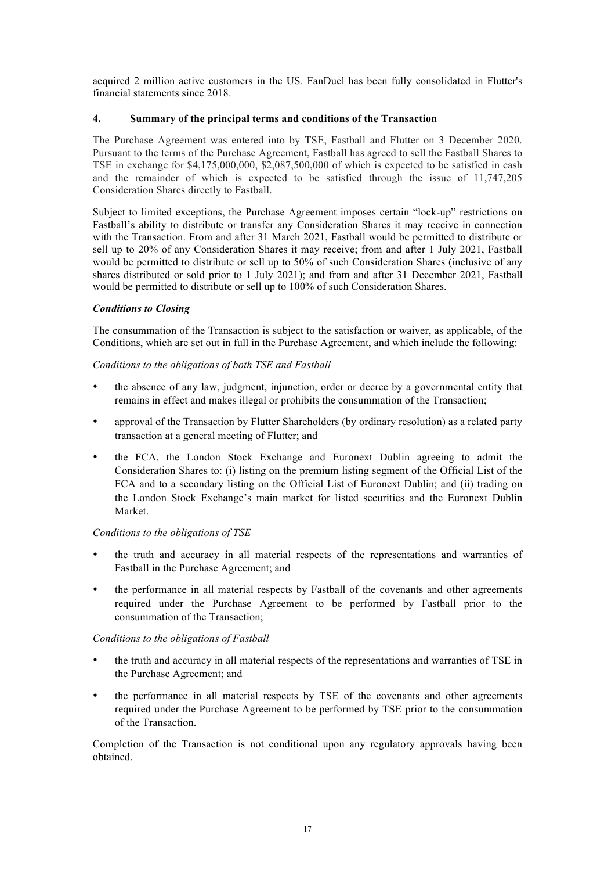acquired 2 million active customers in the US. FanDuel has been fully consolidated in Flutter's financial statements since 2018.

# **4. Summary of the principal terms and conditions of the Transaction**

The Purchase Agreement was entered into by TSE, Fastball and Flutter on 3 December 2020. Pursuant to the terms of the Purchase Agreement, Fastball has agreed to sell the Fastball Shares to TSE in exchange for \$4,175,000,000, \$2,087,500,000 of which is expected to be satisfied in cash and the remainder of which is expected to be satisfied through the issue of 11,747,205 Consideration Shares directly to Fastball.

Subject to limited exceptions, the Purchase Agreement imposes certain "lock-up" restrictions on Fastball's ability to distribute or transfer any Consideration Shares it may receive in connection with the Transaction. From and after 31 March 2021, Fastball would be permitted to distribute or sell up to 20% of any Consideration Shares it may receive; from and after 1 July 2021, Fastball would be permitted to distribute or sell up to 50% of such Consideration Shares (inclusive of any shares distributed or sold prior to 1 July 2021); and from and after 31 December 2021, Fastball would be permitted to distribute or sell up to 100% of such Consideration Shares.

# *Conditions to Closing*

The consummation of the Transaction is subject to the satisfaction or waiver, as applicable, of the Conditions, which are set out in full in the Purchase Agreement, and which include the following:

# *Conditions to the obligations of both TSE and Fastball*

- the absence of any law, judgment, injunction, order or decree by a governmental entity that remains in effect and makes illegal or prohibits the consummation of the Transaction;
- approval of the Transaction by Flutter Shareholders (by ordinary resolution) as a related party transaction at a general meeting of Flutter; and
- the FCA, the London Stock Exchange and Euronext Dublin agreeing to admit the Consideration Shares to: (i) listing on the premium listing segment of the Official List of the FCA and to a secondary listing on the Official List of Euronext Dublin; and (ii) trading on the London Stock Exchange's main market for listed securities and the Euronext Dublin Market.

# *Conditions to the obligations of TSE*

- the truth and accuracy in all material respects of the representations and warranties of Fastball in the Purchase Agreement; and
- the performance in all material respects by Fastball of the covenants and other agreements required under the Purchase Agreement to be performed by Fastball prior to the consummation of the Transaction;

# *Conditions to the obligations of Fastball*

- the truth and accuracy in all material respects of the representations and warranties of TSE in the Purchase Agreement; and
- the performance in all material respects by TSE of the covenants and other agreements required under the Purchase Agreement to be performed by TSE prior to the consummation of the Transaction.

Completion of the Transaction is not conditional upon any regulatory approvals having been obtained.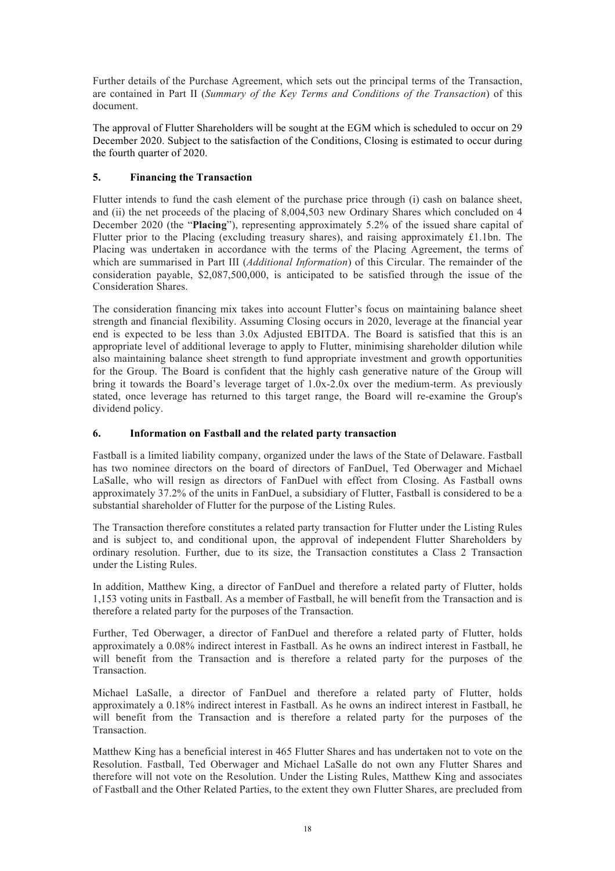Further details of the Purchase Agreement, which sets out the principal terms of the Transaction, are contained in Part II (*Summary of the Key Terms and Conditions of the Transaction*) of this document.

The approval of Flutter Shareholders will be sought at the EGM which is scheduled to occur on 29 December 2020. Subject to the satisfaction of the Conditions, Closing is estimated to occur during the fourth quarter of 2020.

# **5. Financing the Transaction**

Flutter intends to fund the cash element of the purchase price through (i) cash on balance sheet, and (ii) the net proceeds of the placing of 8,004,503 new Ordinary Shares which concluded on 4 December 2020 (the "**Placing**"), representing approximately 5.2% of the issued share capital of Flutter prior to the Placing (excluding treasury shares), and raising approximately £1.1bn. The Placing was undertaken in accordance with the terms of the Placing Agreement, the terms of which are summarised in Part III (*Additional Information*) of this Circular. The remainder of the consideration payable, \$2,087,500,000, is anticipated to be satisfied through the issue of the Consideration Shares.

The consideration financing mix takes into account Flutter's focus on maintaining balance sheet strength and financial flexibility. Assuming Closing occurs in 2020, leverage at the financial year end is expected to be less than 3.0x Adjusted EBITDA. The Board is satisfied that this is an appropriate level of additional leverage to apply to Flutter, minimising shareholder dilution while also maintaining balance sheet strength to fund appropriate investment and growth opportunities for the Group. The Board is confident that the highly cash generative nature of the Group will bring it towards the Board's leverage target of 1.0x-2.0x over the medium-term. As previously stated, once leverage has returned to this target range, the Board will re-examine the Group's dividend policy.

# **6. Information on Fastball and the related party transaction**

Fastball is a limited liability company, organized under the laws of the State of Delaware. Fastball has two nominee directors on the board of directors of FanDuel, Ted Oberwager and Michael LaSalle, who will resign as directors of FanDuel with effect from Closing. As Fastball owns approximately 37.2% of the units in FanDuel, a subsidiary of Flutter, Fastball is considered to be a substantial shareholder of Flutter for the purpose of the Listing Rules.

The Transaction therefore constitutes a related party transaction for Flutter under the Listing Rules and is subject to, and conditional upon, the approval of independent Flutter Shareholders by ordinary resolution. Further, due to its size, the Transaction constitutes a Class 2 Transaction under the Listing Rules.

In addition, Matthew King, a director of FanDuel and therefore a related party of Flutter, holds 1,153 voting units in Fastball. As a member of Fastball, he will benefit from the Transaction and is therefore a related party for the purposes of the Transaction.

Further, Ted Oberwager, a director of FanDuel and therefore a related party of Flutter, holds approximately a 0.08% indirect interest in Fastball. As he owns an indirect interest in Fastball, he will benefit from the Transaction and is therefore a related party for the purposes of the Transaction.

Michael LaSalle, a director of FanDuel and therefore a related party of Flutter, holds approximately a 0.18% indirect interest in Fastball. As he owns an indirect interest in Fastball, he will benefit from the Transaction and is therefore a related party for the purposes of the Transaction.

Matthew King has a beneficial interest in 465 Flutter Shares and has undertaken not to vote on the Resolution. Fastball, Ted Oberwager and Michael LaSalle do not own any Flutter Shares and therefore will not vote on the Resolution. Under the Listing Rules, Matthew King and associates of Fastball and the Other Related Parties, to the extent they own Flutter Shares, are precluded from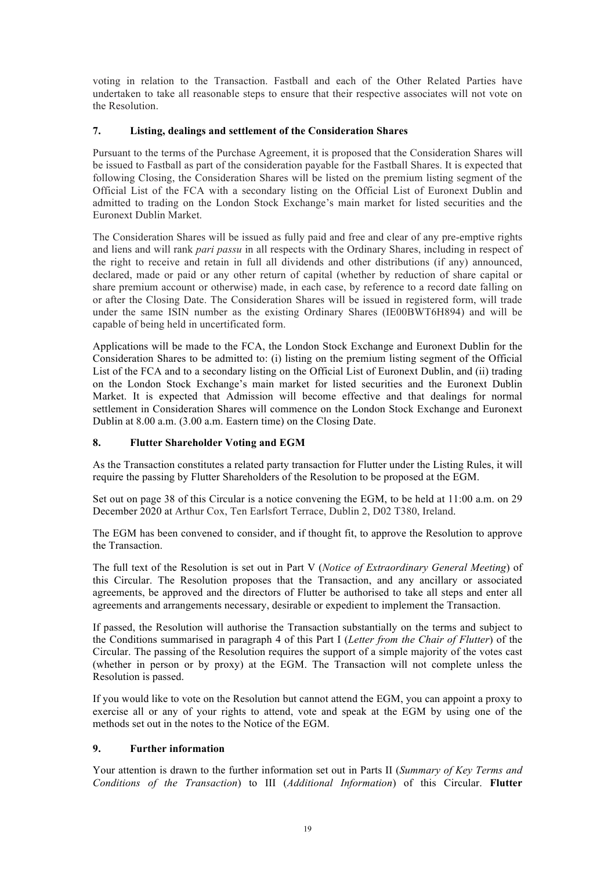voting in relation to the Transaction. Fastball and each of the Other Related Parties have undertaken to take all reasonable steps to ensure that their respective associates will not vote on the Resolution.

# **7. Listing, dealings and settlement of the Consideration Shares**

Pursuant to the terms of the Purchase Agreement, it is proposed that the Consideration Shares will be issued to Fastball as part of the consideration payable for the Fastball Shares. It is expected that following Closing, the Consideration Shares will be listed on the premium listing segment of the Official List of the FCA with a secondary listing on the Official List of Euronext Dublin and admitted to trading on the London Stock Exchange's main market for listed securities and the Euronext Dublin Market.

The Consideration Shares will be issued as fully paid and free and clear of any pre-emptive rights and liens and will rank *pari passu* in all respects with the Ordinary Shares, including in respect of the right to receive and retain in full all dividends and other distributions (if any) announced, declared, made or paid or any other return of capital (whether by reduction of share capital or share premium account or otherwise) made, in each case, by reference to a record date falling on or after the Closing Date. The Consideration Shares will be issued in registered form, will trade under the same ISIN number as the existing Ordinary Shares (IE00BWT6H894) and will be capable of being held in uncertificated form.

Applications will be made to the FCA, the London Stock Exchange and Euronext Dublin for the Consideration Shares to be admitted to: (i) listing on the premium listing segment of the Official List of the FCA and to a secondary listing on the Official List of Euronext Dublin, and (ii) trading on the London Stock Exchange's main market for listed securities and the Euronext Dublin Market. It is expected that Admission will become effective and that dealings for normal settlement in Consideration Shares will commence on the London Stock Exchange and Euronext Dublin at 8.00 a.m. (3.00 a.m. Eastern time) on the Closing Date.

# **8. Flutter Shareholder Voting and EGM**

As the Transaction constitutes a related party transaction for Flutter under the Listing Rules, it will require the passing by Flutter Shareholders of the Resolution to be proposed at the EGM.

Set out on page 38 of this Circular is a notice convening the EGM, to be held at 11:00 a.m. on 29 December 2020 at Arthur Cox, Ten Earlsfort Terrace, Dublin 2, D02 T380, Ireland.

The EGM has been convened to consider, and if thought fit, to approve the Resolution to approve the Transaction.

The full text of the Resolution is set out in Part V (*Notice of Extraordinary General Meeting*) of this Circular. The Resolution proposes that the Transaction, and any ancillary or associated agreements, be approved and the directors of Flutter be authorised to take all steps and enter all agreements and arrangements necessary, desirable or expedient to implement the Transaction.

If passed, the Resolution will authorise the Transaction substantially on the terms and subject to the Conditions summarised in paragraph 4 of this Part I (*Letter from the Chair of Flutter*) of the Circular. The passing of the Resolution requires the support of a simple majority of the votes cast (whether in person or by proxy) at the EGM. The Transaction will not complete unless the Resolution is passed.

If you would like to vote on the Resolution but cannot attend the EGM, you can appoint a proxy to exercise all or any of your rights to attend, vote and speak at the EGM by using one of the methods set out in the notes to the Notice of the EGM.

# **9. Further information**

Your attention is drawn to the further information set out in Parts II (*Summary of Key Terms and Conditions of the Transaction*) to III (*Additional Information*) of this Circular. **Flutter**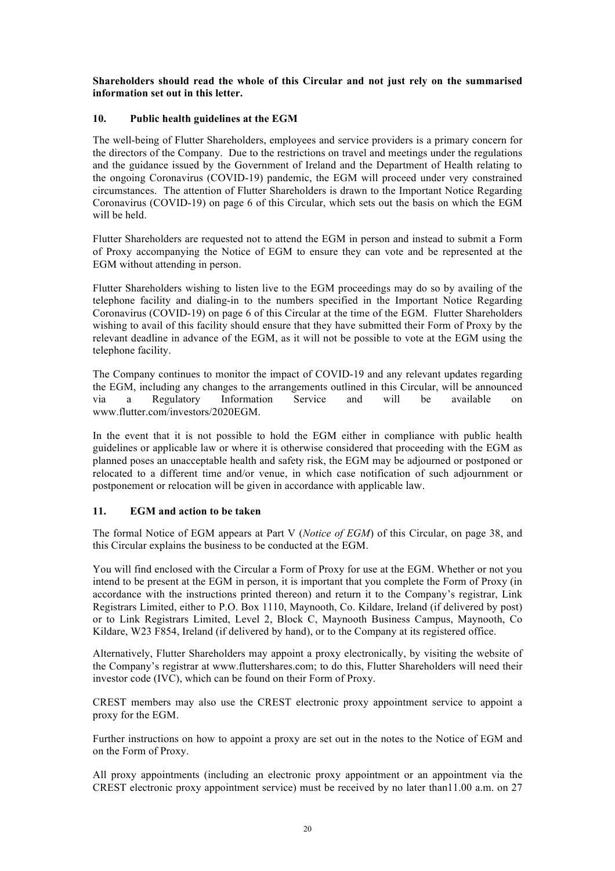**Shareholders should read the whole of this Circular and not just rely on the summarised information set out in this letter.**

#### **10. Public health guidelines at the EGM**

The well-being of Flutter Shareholders, employees and service providers is a primary concern for the directors of the Company. Due to the restrictions on travel and meetings under the regulations and the guidance issued by the Government of Ireland and the Department of Health relating to the ongoing Coronavirus (COVID-19) pandemic, the EGM will proceed under very constrained circumstances. The attention of Flutter Shareholders is drawn to the Important Notice Regarding Coronavirus (COVID-19) on page 6 of this Circular, which sets out the basis on which the EGM will be held.

Flutter Shareholders are requested not to attend the EGM in person and instead to submit a Form of Proxy accompanying the Notice of EGM to ensure they can vote and be represented at the EGM without attending in person.

Flutter Shareholders wishing to listen live to the EGM proceedings may do so by availing of the telephone facility and dialing-in to the numbers specified in the Important Notice Regarding Coronavirus (COVID-19) on page 6 of this Circular at the time of the EGM. Flutter Shareholders wishing to avail of this facility should ensure that they have submitted their Form of Proxy by the relevant deadline in advance of the EGM, as it will not be possible to vote at the EGM using the telephone facility.

The Company continues to monitor the impact of COVID-19 and any relevant updates regarding the EGM, including any changes to the arrangements outlined in this Circular, will be announced via a Regulatory Information Service and will be available on www.flutter.com/investors/2020EGM.

In the event that it is not possible to hold the EGM either in compliance with public health guidelines or applicable law or where it is otherwise considered that proceeding with the EGM as planned poses an unacceptable health and safety risk, the EGM may be adjourned or postponed or relocated to a different time and/or venue, in which case notification of such adjournment or postponement or relocation will be given in accordance with applicable law.

# **11. EGM and action to be taken**

The formal Notice of EGM appears at Part V (*Notice of EGM*) of this Circular, on page 38, and this Circular explains the business to be conducted at the EGM.

You will find enclosed with the Circular a Form of Proxy for use at the EGM. Whether or not you intend to be present at the EGM in person, it is important that you complete the Form of Proxy (in accordance with the instructions printed thereon) and return it to the Company's registrar, Link Registrars Limited, either to P.O. Box 1110, Maynooth, Co. Kildare, Ireland (if delivered by post) or to Link Registrars Limited, Level 2, Block C, Maynooth Business Campus, Maynooth, Co Kildare, W23 F854, Ireland (if delivered by hand), or to the Company at its registered office.

Alternatively, Flutter Shareholders may appoint a proxy electronically, by visiting the website of the Company's registrar at www.fluttershares.com; to do this, Flutter Shareholders will need their investor code (IVC), which can be found on their Form of Proxy.

CREST members may also use the CREST electronic proxy appointment service to appoint a proxy for the EGM.

Further instructions on how to appoint a proxy are set out in the notes to the Notice of EGM and on the Form of Proxy.

All proxy appointments (including an electronic proxy appointment or an appointment via the CREST electronic proxy appointment service) must be received by no later than11.00 a.m. on 27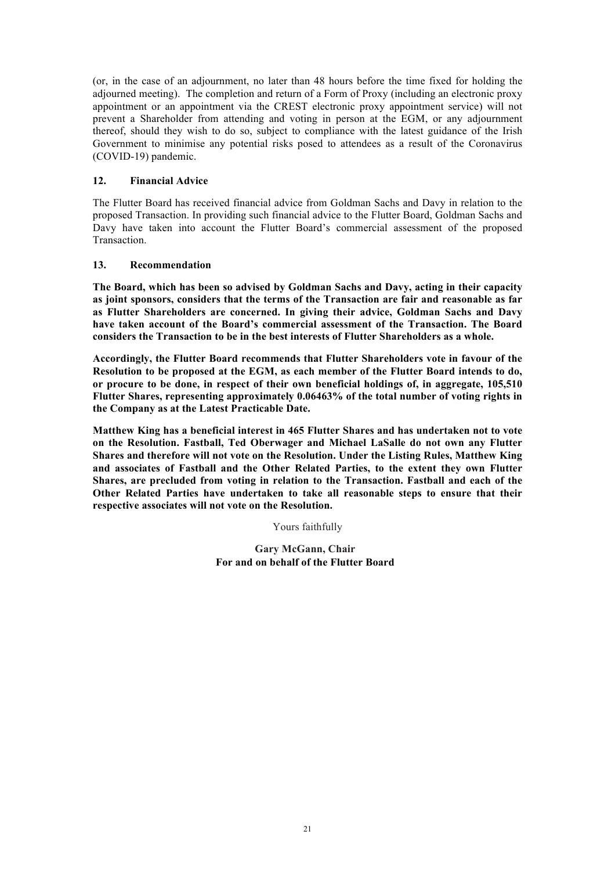(or, in the case of an adjournment, no later than 48 hours before the time fixed for holding the adjourned meeting). The completion and return of a Form of Proxy (including an electronic proxy appointment or an appointment via the CREST electronic proxy appointment service) will not prevent a Shareholder from attending and voting in person at the EGM, or any adjournment thereof, should they wish to do so, subject to compliance with the latest guidance of the Irish Government to minimise any potential risks posed to attendees as a result of the Coronavirus (COVID-19) pandemic.

# **12. Financial Advice**

The Flutter Board has received financial advice from Goldman Sachs and Davy in relation to the proposed Transaction. In providing such financial advice to the Flutter Board, Goldman Sachs and Davy have taken into account the Flutter Board's commercial assessment of the proposed Transaction.

# **13. Recommendation**

**The Board, which has been so advised by Goldman Sachs and Davy, acting in their capacity as joint sponsors, considers that the terms of the Transaction are fair and reasonable as far as Flutter Shareholders are concerned. In giving their advice, Goldman Sachs and Davy have taken account of the Board's commercial assessment of the Transaction. The Board considers the Transaction to be in the best interests of Flutter Shareholders as a whole.**

**Accordingly, the Flutter Board recommends that Flutter Shareholders vote in favour of the Resolution to be proposed at the EGM, as each member of the Flutter Board intends to do, or procure to be done, in respect of their own beneficial holdings of, in aggregate, 105,510 Flutter Shares, representing approximately 0.06463% of the total number of voting rights in the Company as at the Latest Practicable Date.**

**Matthew King has a beneficial interest in 465 Flutter Shares and has undertaken not to vote on the Resolution. Fastball, Ted Oberwager and Michael LaSalle do not own any Flutter Shares and therefore will not vote on the Resolution. Under the Listing Rules, Matthew King and associates of Fastball and the Other Related Parties, to the extent they own Flutter Shares, are precluded from voting in relation to the Transaction. Fastball and each of the Other Related Parties have undertaken to take all reasonable steps to ensure that their respective associates will not vote on the Resolution.**

Yours faithfully

**Gary McGann, Chair For and on behalf of the Flutter Board**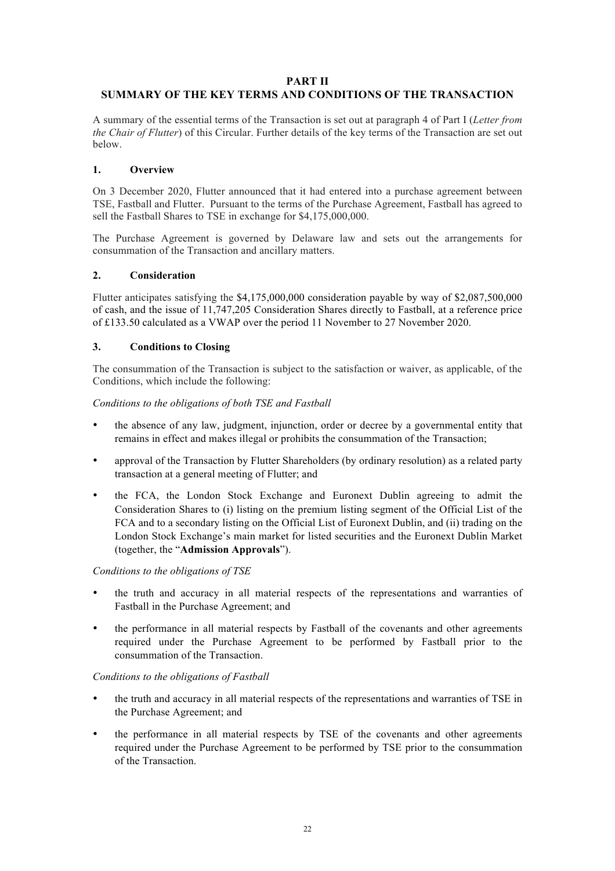#### **PART II**

# **SUMMARY OF THE KEY TERMS AND CONDITIONS OF THE TRANSACTION**

A summary of the essential terms of the Transaction is set out at paragraph 4 of Part I (*Letter from the Chair of Flutter*) of this Circular. Further details of the key terms of the Transaction are set out below.

# **1. Overview**

On 3 December 2020, Flutter announced that it had entered into a purchase agreement between TSE, Fastball and Flutter. Pursuant to the terms of the Purchase Agreement, Fastball has agreed to sell the Fastball Shares to TSE in exchange for \$4,175,000,000.

The Purchase Agreement is governed by Delaware law and sets out the arrangements for consummation of the Transaction and ancillary matters.

#### **2. Consideration**

Flutter anticipates satisfying the \$4,175,000,000 consideration payable by way of \$2,087,500,000 of cash, and the issue of 11,747,205 Consideration Shares directly to Fastball, at a reference price of £133.50 calculated as a VWAP over the period 11 November to 27 November 2020.

#### **3. Conditions to Closing**

The consummation of the Transaction is subject to the satisfaction or waiver, as applicable, of the Conditions, which include the following:

*Conditions to the obligations of both TSE and Fastball*

- the absence of any law, judgment, injunction, order or decree by a governmental entity that remains in effect and makes illegal or prohibits the consummation of the Transaction;
- approval of the Transaction by Flutter Shareholders (by ordinary resolution) as a related party transaction at a general meeting of Flutter; and
- the FCA, the London Stock Exchange and Euronext Dublin agreeing to admit the Consideration Shares to (i) listing on the premium listing segment of the Official List of the FCA and to a secondary listing on the Official List of Euronext Dublin, and (ii) trading on the London Stock Exchange's main market for listed securities and the Euronext Dublin Market (together, the "**Admission Approvals**").

#### *Conditions to the obligations of TSE*

- the truth and accuracy in all material respects of the representations and warranties of Fastball in the Purchase Agreement; and
- the performance in all material respects by Fastball of the covenants and other agreements required under the Purchase Agreement to be performed by Fastball prior to the consummation of the Transaction.

#### *Conditions to the obligations of Fastball*

- the truth and accuracy in all material respects of the representations and warranties of TSE in the Purchase Agreement; and
- the performance in all material respects by TSE of the covenants and other agreements required under the Purchase Agreement to be performed by TSE prior to the consummation of the Transaction.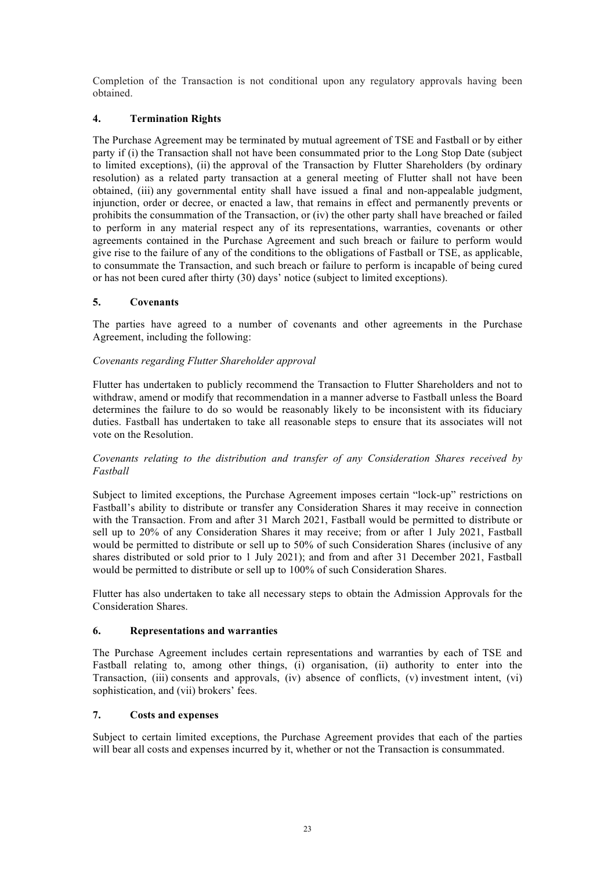Completion of the Transaction is not conditional upon any regulatory approvals having been obtained.

# **4. Termination Rights**

The Purchase Agreement may be terminated by mutual agreement of TSE and Fastball or by either party if (i) the Transaction shall not have been consummated prior to the Long Stop Date (subject to limited exceptions), (ii) the approval of the Transaction by Flutter Shareholders (by ordinary resolution) as a related party transaction at a general meeting of Flutter shall not have been obtained, (iii) any governmental entity shall have issued a final and non-appealable judgment, injunction, order or decree, or enacted a law, that remains in effect and permanently prevents or prohibits the consummation of the Transaction, or (iv) the other party shall have breached or failed to perform in any material respect any of its representations, warranties, covenants or other agreements contained in the Purchase Agreement and such breach or failure to perform would give rise to the failure of any of the conditions to the obligations of Fastball or TSE, as applicable, to consummate the Transaction, and such breach or failure to perform is incapable of being cured or has not been cured after thirty (30) days' notice (subject to limited exceptions).

# **5. Covenants**

The parties have agreed to a number of covenants and other agreements in the Purchase Agreement, including the following:

# *Covenants regarding Flutter Shareholder approval*

Flutter has undertaken to publicly recommend the Transaction to Flutter Shareholders and not to withdraw, amend or modify that recommendation in a manner adverse to Fastball unless the Board determines the failure to do so would be reasonably likely to be inconsistent with its fiduciary duties. Fastball has undertaken to take all reasonable steps to ensure that its associates will not vote on the Resolution.

#### *Covenants relating to the distribution and transfer of any Consideration Shares received by Fastball*

Subject to limited exceptions, the Purchase Agreement imposes certain "lock-up" restrictions on Fastball's ability to distribute or transfer any Consideration Shares it may receive in connection with the Transaction. From and after 31 March 2021, Fastball would be permitted to distribute or sell up to 20% of any Consideration Shares it may receive; from or after 1 July 2021, Fastball would be permitted to distribute or sell up to 50% of such Consideration Shares (inclusive of any shares distributed or sold prior to 1 July 2021); and from and after 31 December 2021, Fastball would be permitted to distribute or sell up to 100% of such Consideration Shares.

Flutter has also undertaken to take all necessary steps to obtain the Admission Approvals for the Consideration Shares.

# **6. Representations and warranties**

The Purchase Agreement includes certain representations and warranties by each of TSE and Fastball relating to, among other things, (i) organisation, (ii) authority to enter into the Transaction, (iii) consents and approvals, (iv) absence of conflicts, (v) investment intent, (vi) sophistication, and (vii) brokers' fees.

# **7. Costs and expenses**

Subject to certain limited exceptions, the Purchase Agreement provides that each of the parties will bear all costs and expenses incurred by it, whether or not the Transaction is consummated.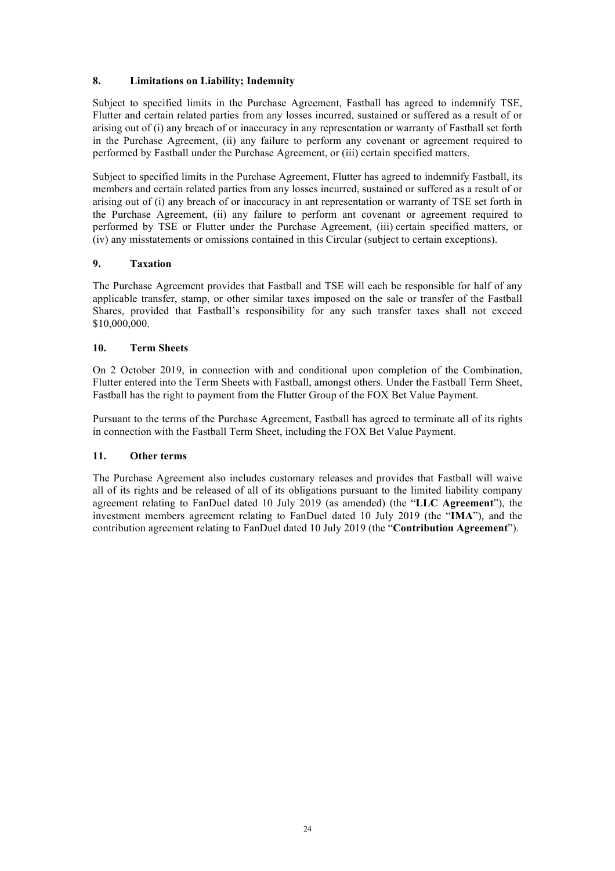# **8. Limitations on Liability; Indemnity**

Subject to specified limits in the Purchase Agreement, Fastball has agreed to indemnify TSE, Flutter and certain related parties from any losses incurred, sustained or suffered as a result of or arising out of (i) any breach of or inaccuracy in any representation or warranty of Fastball set forth in the Purchase Agreement, (ii) any failure to perform any covenant or agreement required to performed by Fastball under the Purchase Agreement, or (iii) certain specified matters.

Subject to specified limits in the Purchase Agreement, Flutter has agreed to indemnify Fastball, its members and certain related parties from any losses incurred, sustained or suffered as a result of or arising out of (i) any breach of or inaccuracy in ant representation or warranty of TSE set forth in the Purchase Agreement, (ii) any failure to perform ant covenant or agreement required to performed by TSE or Flutter under the Purchase Agreement, (iii) certain specified matters, or (iv) any misstatements or omissions contained in this Circular (subject to certain exceptions).

# **9. Taxation**

The Purchase Agreement provides that Fastball and TSE will each be responsible for half of any applicable transfer, stamp, or other similar taxes imposed on the sale or transfer of the Fastball Shares, provided that Fastball's responsibility for any such transfer taxes shall not exceed \$10,000,000.

#### **10. Term Sheets**

On 2 October 2019, in connection with and conditional upon completion of the Combination, Flutter entered into the Term Sheets with Fastball, amongst others. Under the Fastball Term Sheet, Fastball has the right to payment from the Flutter Group of the FOX Bet Value Payment.

Pursuant to the terms of the Purchase Agreement, Fastball has agreed to terminate all of its rights in connection with the Fastball Term Sheet, including the FOX Bet Value Payment.

# **11. Other terms**

The Purchase Agreement also includes customary releases and provides that Fastball will waive all of its rights and be released of all of its obligations pursuant to the limited liability company agreement relating to FanDuel dated 10 July 2019 (as amended) (the "**LLC Agreement**"), the investment members agreement relating to FanDuel dated 10 July 2019 (the "**IMA**"), and the contribution agreement relating to FanDuel dated 10 July 2019 (the "**Contribution Agreement**").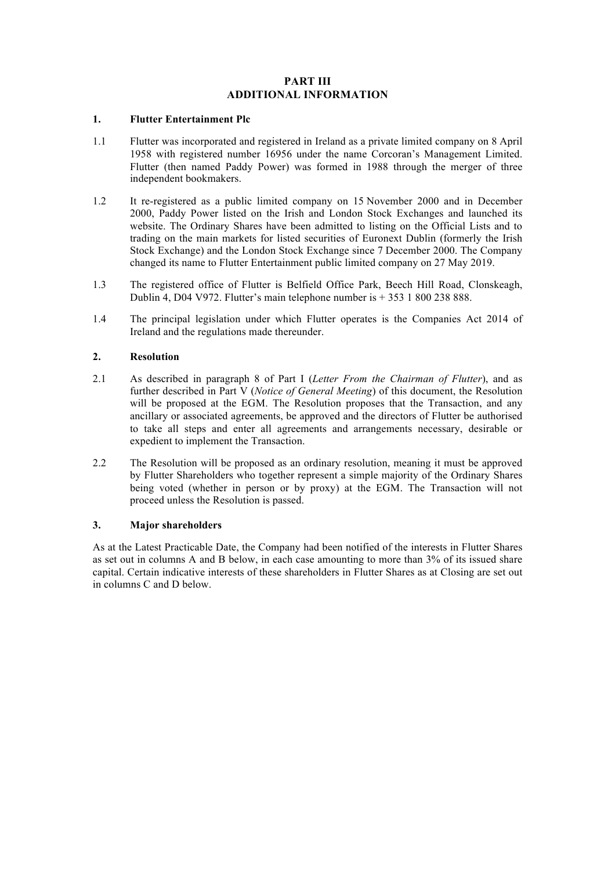# **PART III ADDITIONAL INFORMATION**

# **1. Flutter Entertainment Plc**

- 1.1 Flutter was incorporated and registered in Ireland as a private limited company on 8 April 1958 with registered number 16956 under the name Corcoran's Management Limited. Flutter (then named Paddy Power) was formed in 1988 through the merger of three independent bookmakers.
- 1.2 It re-registered as a public limited company on 15 November 2000 and in December 2000, Paddy Power listed on the Irish and London Stock Exchanges and launched its website. The Ordinary Shares have been admitted to listing on the Official Lists and to trading on the main markets for listed securities of Euronext Dublin (formerly the Irish Stock Exchange) and the London Stock Exchange since 7 December 2000. The Company changed its name to Flutter Entertainment public limited company on 27 May 2019.
- 1.3 The registered office of Flutter is Belfield Office Park, Beech Hill Road, Clonskeagh, Dublin 4, D04 V972. Flutter's main telephone number is + 353 1 800 238 888.
- 1.4 The principal legislation under which Flutter operates is the Companies Act 2014 of Ireland and the regulations made thereunder.

#### **2. Resolution**

- 2.1 As described in paragraph 8 of Part I (*Letter From the Chairman of Flutter*), and as further described in Part V (*Notice of General Meeting*) of this document, the Resolution will be proposed at the EGM. The Resolution proposes that the Transaction, and any ancillary or associated agreements, be approved and the directors of Flutter be authorised to take all steps and enter all agreements and arrangements necessary, desirable or expedient to implement the Transaction.
- 2.2 The Resolution will be proposed as an ordinary resolution, meaning it must be approved by Flutter Shareholders who together represent a simple majority of the Ordinary Shares being voted (whether in person or by proxy) at the EGM. The Transaction will not proceed unless the Resolution is passed.

#### **3. Major shareholders**

As at the Latest Practicable Date, the Company had been notified of the interests in Flutter Shares as set out in columns A and B below, in each case amounting to more than 3% of its issued share capital. Certain indicative interests of these shareholders in Flutter Shares as at Closing are set out in columns C and D below.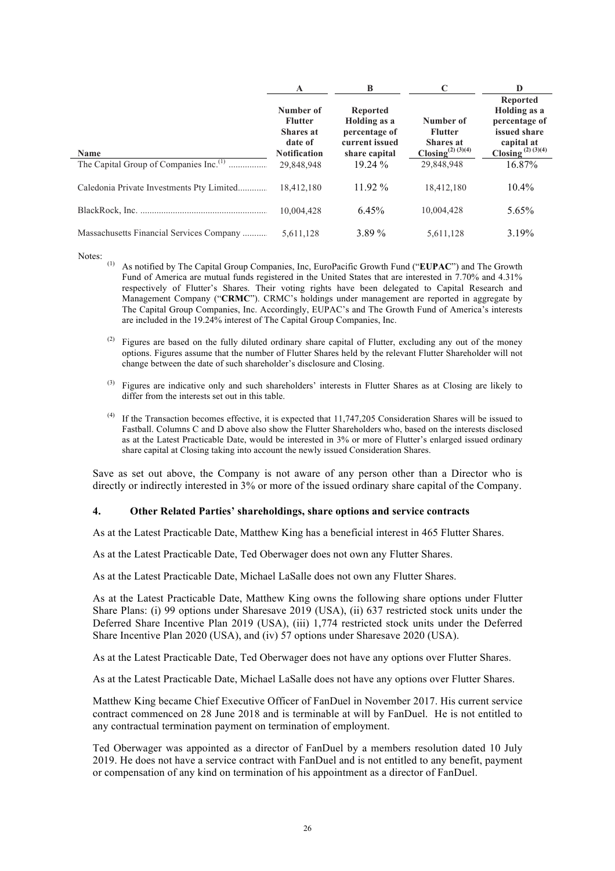|                                                    | A                                                                                 | B                                                                                   |                                                                          | D                                                                                                              |
|----------------------------------------------------|-----------------------------------------------------------------------------------|-------------------------------------------------------------------------------------|--------------------------------------------------------------------------|----------------------------------------------------------------------------------------------------------------|
| <b>Name</b>                                        | Number of<br><b>Flutter</b><br><b>Shares</b> at<br>date of<br><b>Notification</b> | <b>Reported</b><br>Holding as a<br>percentage of<br>current issued<br>share capital | Number of<br><b>Flutter</b><br><b>Shares</b> at<br>$Closing^{(2)(3)(4)}$ | <b>Reported</b><br>Holding as a<br>percentage of<br>issued share<br>capital at<br>Closing <sup>(2)(3)(4)</sup> |
| The Capital Group of Companies Inc. <sup>(1)</sup> | 29.848.948                                                                        | 19.24%                                                                              | 29.848.948                                                               | 16.87%                                                                                                         |
|                                                    | 18.412.180                                                                        | $11.92\%$                                                                           | 18,412,180                                                               | $10.4\%$                                                                                                       |
|                                                    | 10.004.428                                                                        | 6.45%                                                                               | 10.004.428                                                               | 5.65%                                                                                                          |
| Massachusetts Financial Services Company           | 5,611,128                                                                         | 3.89 %                                                                              | 5,611,128                                                                | 3.19%                                                                                                          |

Notes:

- (1) As notified by The Capital Group Companies, Inc, EuroPacific Growth Fund ("**EUPAC**") and The Growth Fund of America are mutual funds registered in the United States that are interested in 7.70% and 4.31% respectively of Flutter's Shares. Their voting rights have been delegated to Capital Research and Management Company ("**CRMC**"). CRMC's holdings under management are reported in aggregate by The Capital Group Companies, Inc. Accordingly, EUPAC's and The Growth Fund of America's interests are included in the 19.24% interest of The Capital Group Companies, Inc.
- (2) Figures are based on the fully diluted ordinary share capital of Flutter, excluding any out of the money options. Figures assume that the number of Flutter Shares held by the relevant Flutter Shareholder will not change between the date of such shareholder's disclosure and Closing.
- (3) Figures are indicative only and such shareholders' interests in Flutter Shares as at Closing are likely to differ from the interests set out in this table.
- (4) If the Transaction becomes effective, it is expected that 11,747,205 Consideration Shares will be issued to Fastball. Columns C and D above also show the Flutter Shareholders who, based on the interests disclosed as at the Latest Practicable Date, would be interested in 3% or more of Flutter's enlarged issued ordinary share capital at Closing taking into account the newly issued Consideration Shares.

Save as set out above, the Company is not aware of any person other than a Director who is directly or indirectly interested in 3% or more of the issued ordinary share capital of the Company.

#### **4. Other Related Parties' shareholdings, share options and service contracts**

As at the Latest Practicable Date, Matthew King has a beneficial interest in 465 Flutter Shares.

As at the Latest Practicable Date, Ted Oberwager does not own any Flutter Shares.

As at the Latest Practicable Date, Michael LaSalle does not own any Flutter Shares.

As at the Latest Practicable Date, Matthew King owns the following share options under Flutter Share Plans: (i) 99 options under Sharesave 2019 (USA), (ii) 637 restricted stock units under the Deferred Share Incentive Plan 2019 (USA), (iii) 1,774 restricted stock units under the Deferred Share Incentive Plan 2020 (USA), and (iv) 57 options under Sharesave 2020 (USA).

As at the Latest Practicable Date, Ted Oberwager does not have any options over Flutter Shares.

As at the Latest Practicable Date, Michael LaSalle does not have any options over Flutter Shares.

Matthew King became Chief Executive Officer of FanDuel in November 2017. His current service contract commenced on 28 June 2018 and is terminable at will by FanDuel. He is not entitled to any contractual termination payment on termination of employment.

Ted Oberwager was appointed as a director of FanDuel by a members resolution dated 10 July 2019. He does not have a service contract with FanDuel and is not entitled to any benefit, payment or compensation of any kind on termination of his appointment as a director of FanDuel.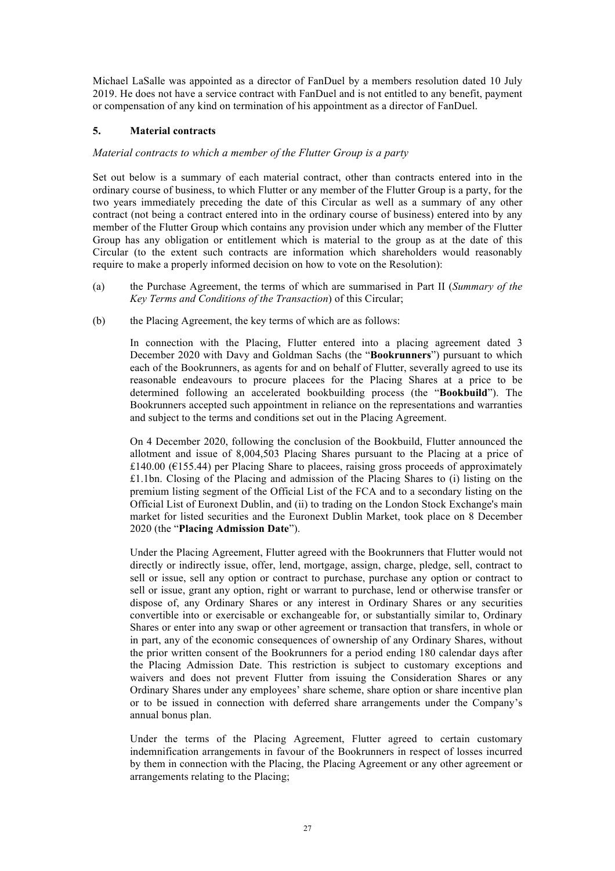Michael LaSalle was appointed as a director of FanDuel by a members resolution dated 10 July 2019. He does not have a service contract with FanDuel and is not entitled to any benefit, payment or compensation of any kind on termination of his appointment as a director of FanDuel.

# **5. Material contracts**

# *Material contracts to which a member of the Flutter Group is a party*

Set out below is a summary of each material contract, other than contracts entered into in the ordinary course of business, to which Flutter or any member of the Flutter Group is a party, for the two years immediately preceding the date of this Circular as well as a summary of any other contract (not being a contract entered into in the ordinary course of business) entered into by any member of the Flutter Group which contains any provision under which any member of the Flutter Group has any obligation or entitlement which is material to the group as at the date of this Circular (to the extent such contracts are information which shareholders would reasonably require to make a properly informed decision on how to vote on the Resolution):

- (a) the Purchase Agreement, the terms of which are summarised in Part II (*Summary of the Key Terms and Conditions of the Transaction*) of this Circular;
- (b) the Placing Agreement, the key terms of which are as follows:

In connection with the Placing, Flutter entered into a placing agreement dated 3 December 2020 with Davy and Goldman Sachs (the "**Bookrunners**") pursuant to which each of the Bookrunners, as agents for and on behalf of Flutter, severally agreed to use its reasonable endeavours to procure placees for the Placing Shares at a price to be determined following an accelerated bookbuilding process (the "**Bookbuild**"). The Bookrunners accepted such appointment in reliance on the representations and warranties and subject to the terms and conditions set out in the Placing Agreement.

On 4 December 2020, following the conclusion of the Bookbuild, Flutter announced the allotment and issue of 8,004,503 Placing Shares pursuant to the Placing at a price of £140.00 ( $E$ 155.44) per Placing Share to placees, raising gross proceeds of approximately £1.1bn. Closing of the Placing and admission of the Placing Shares to (i) listing on the premium listing segment of the Official List of the FCA and to a secondary listing on the Official List of Euronext Dublin, and (ii) to trading on the London Stock Exchange's main market for listed securities and the Euronext Dublin Market, took place on 8 December 2020 (the "**Placing Admission Date**").

Under the Placing Agreement, Flutter agreed with the Bookrunners that Flutter would not directly or indirectly issue, offer, lend, mortgage, assign, charge, pledge, sell, contract to sell or issue, sell any option or contract to purchase, purchase any option or contract to sell or issue, grant any option, right or warrant to purchase, lend or otherwise transfer or dispose of, any Ordinary Shares or any interest in Ordinary Shares or any securities convertible into or exercisable or exchangeable for, or substantially similar to, Ordinary Shares or enter into any swap or other agreement or transaction that transfers, in whole or in part, any of the economic consequences of ownership of any Ordinary Shares, without the prior written consent of the Bookrunners for a period ending 180 calendar days after the Placing Admission Date. This restriction is subject to customary exceptions and waivers and does not prevent Flutter from issuing the Consideration Shares or any Ordinary Shares under any employees' share scheme, share option or share incentive plan or to be issued in connection with deferred share arrangements under the Company's annual bonus plan.

Under the terms of the Placing Agreement, Flutter agreed to certain customary indemnification arrangements in favour of the Bookrunners in respect of losses incurred by them in connection with the Placing, the Placing Agreement or any other agreement or arrangements relating to the Placing;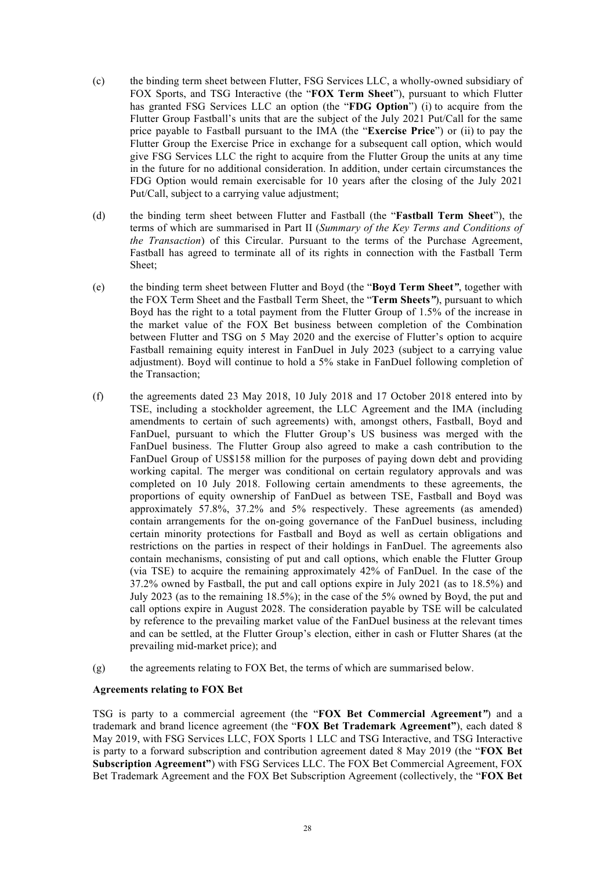- (c) the binding term sheet between Flutter, FSG Services LLC, a wholly-owned subsidiary of FOX Sports, and TSG Interactive (the "**FOX Term Sheet**"), pursuant to which Flutter has granted FSG Services LLC an option (the "**FDG Option**") (i) to acquire from the Flutter Group Fastball's units that are the subject of the July 2021 Put/Call for the same price payable to Fastball pursuant to the IMA (the "**Exercise Price**") or (ii) to pay the Flutter Group the Exercise Price in exchange for a subsequent call option, which would give FSG Services LLC the right to acquire from the Flutter Group the units at any time in the future for no additional consideration. In addition, under certain circumstances the FDG Option would remain exercisable for 10 years after the closing of the July 2021 Put/Call, subject to a carrying value adjustment;
- (d) the binding term sheet between Flutter and Fastball (the "**Fastball Term Sheet**"), the terms of which are summarised in Part II (*Summary of the Key Terms and Conditions of the Transaction*) of this Circular. Pursuant to the terms of the Purchase Agreement, Fastball has agreed to terminate all of its rights in connection with the Fastball Term Sheet;
- (e) the binding term sheet between Flutter and Boyd (the "**Boyd Term Sheet***"*, together with the FOX Term Sheet and the Fastball Term Sheet, the "**Term Sheets***"*), pursuant to which Boyd has the right to a total payment from the Flutter Group of 1.5% of the increase in the market value of the FOX Bet business between completion of the Combination between Flutter and TSG on 5 May 2020 and the exercise of Flutter's option to acquire Fastball remaining equity interest in FanDuel in July 2023 (subject to a carrying value adjustment). Boyd will continue to hold a 5% stake in FanDuel following completion of the Transaction;
- (f) the agreements dated 23 May 2018, 10 July 2018 and 17 October 2018 entered into by TSE, including a stockholder agreement, the LLC Agreement and the IMA (including amendments to certain of such agreements) with, amongst others, Fastball, Boyd and FanDuel, pursuant to which the Flutter Group's US business was merged with the FanDuel business. The Flutter Group also agreed to make a cash contribution to the FanDuel Group of US\$158 million for the purposes of paying down debt and providing working capital. The merger was conditional on certain regulatory approvals and was completed on 10 July 2018. Following certain amendments to these agreements, the proportions of equity ownership of FanDuel as between TSE, Fastball and Boyd was approximately 57.8%, 37.2% and 5% respectively. These agreements (as amended) contain arrangements for the on-going governance of the FanDuel business, including certain minority protections for Fastball and Boyd as well as certain obligations and restrictions on the parties in respect of their holdings in FanDuel. The agreements also contain mechanisms, consisting of put and call options, which enable the Flutter Group (via TSE) to acquire the remaining approximately 42% of FanDuel. In the case of the 37.2% owned by Fastball, the put and call options expire in July 2021 (as to 18.5%) and July 2023 (as to the remaining 18.5%); in the case of the 5% owned by Boyd, the put and call options expire in August 2028. The consideration payable by TSE will be calculated by reference to the prevailing market value of the FanDuel business at the relevant times and can be settled, at the Flutter Group's election, either in cash or Flutter Shares (at the prevailing mid-market price); and
- (g) the agreements relating to FOX Bet, the terms of which are summarised below.

# **Agreements relating to FOX Bet**

TSG is party to a commercial agreement (the "**FOX Bet Commercial Agreement***"*) and a trademark and brand licence agreement (the "**FOX Bet Trademark Agreement"**), each dated 8 May 2019, with FSG Services LLC, FOX Sports 1 LLC and TSG Interactive, and TSG Interactive is party to a forward subscription and contribution agreement dated 8 May 2019 (the "**FOX Bet Subscription Agreement"**) with FSG Services LLC. The FOX Bet Commercial Agreement, FOX Bet Trademark Agreement and the FOX Bet Subscription Agreement (collectively, the "**FOX Bet**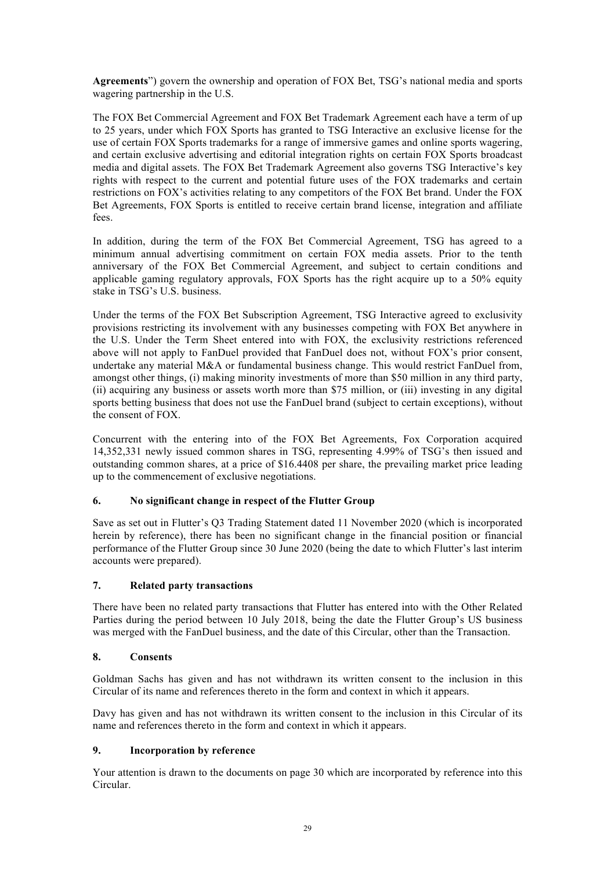**Agreements**") govern the ownership and operation of FOX Bet, TSG's national media and sports wagering partnership in the U.S.

The FOX Bet Commercial Agreement and FOX Bet Trademark Agreement each have a term of up to 25 years, under which FOX Sports has granted to TSG Interactive an exclusive license for the use of certain FOX Sports trademarks for a range of immersive games and online sports wagering, and certain exclusive advertising and editorial integration rights on certain FOX Sports broadcast media and digital assets. The FOX Bet Trademark Agreement also governs TSG Interactive's key rights with respect to the current and potential future uses of the FOX trademarks and certain restrictions on FOX's activities relating to any competitors of the FOX Bet brand. Under the FOX Bet Agreements, FOX Sports is entitled to receive certain brand license, integration and affiliate fees.

In addition, during the term of the FOX Bet Commercial Agreement, TSG has agreed to a minimum annual advertising commitment on certain FOX media assets. Prior to the tenth anniversary of the FOX Bet Commercial Agreement, and subject to certain conditions and applicable gaming regulatory approvals, FOX Sports has the right acquire up to a 50% equity stake in TSG's U.S. business.

Under the terms of the FOX Bet Subscription Agreement, TSG Interactive agreed to exclusivity provisions restricting its involvement with any businesses competing with FOX Bet anywhere in the U.S. Under the Term Sheet entered into with FOX, the exclusivity restrictions referenced above will not apply to FanDuel provided that FanDuel does not, without FOX's prior consent, undertake any material M&A or fundamental business change. This would restrict FanDuel from, amongst other things, (i) making minority investments of more than \$50 million in any third party, (ii) acquiring any business or assets worth more than \$75 million, or (iii) investing in any digital sports betting business that does not use the FanDuel brand (subject to certain exceptions), without the consent of FOX.

Concurrent with the entering into of the FOX Bet Agreements, Fox Corporation acquired 14,352,331 newly issued common shares in TSG, representing 4.99% of TSG's then issued and outstanding common shares, at a price of \$16.4408 per share, the prevailing market price leading up to the commencement of exclusive negotiations.

# **6. No significant change in respect of the Flutter Group**

Save as set out in Flutter's Q3 Trading Statement dated 11 November 2020 (which is incorporated herein by reference), there has been no significant change in the financial position or financial performance of the Flutter Group since 30 June 2020 (being the date to which Flutter's last interim accounts were prepared).

# **7. Related party transactions**

There have been no related party transactions that Flutter has entered into with the Other Related Parties during the period between 10 July 2018, being the date the Flutter Group's US business was merged with the FanDuel business, and the date of this Circular, other than the Transaction.

# **8. Consents**

Goldman Sachs has given and has not withdrawn its written consent to the inclusion in this Circular of its name and references thereto in the form and context in which it appears.

Davy has given and has not withdrawn its written consent to the inclusion in this Circular of its name and references thereto in the form and context in which it appears.

# **9. Incorporation by reference**

Your attention is drawn to the documents on page 30 which are incorporated by reference into this Circular.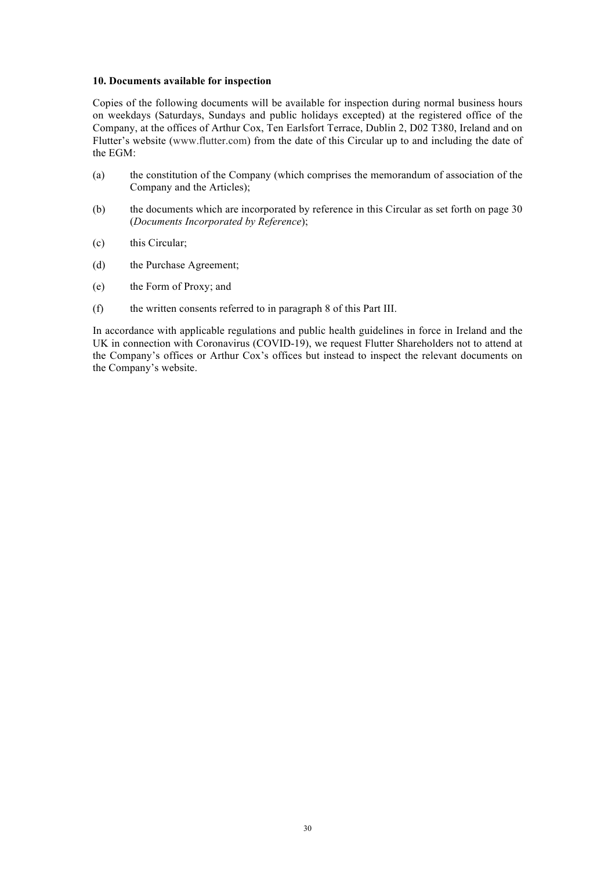#### **10. Documents available for inspection**

Copies of the following documents will be available for inspection during normal business hours on weekdays (Saturdays, Sundays and public holidays excepted) at the registered office of the Company, at the offices of Arthur Cox, Ten Earlsfort Terrace, Dublin 2, D02 T380, Ireland and on Flutter's website (www.flutter.com) from the date of this Circular up to and including the date of the EGM:

- (a) the constitution of the Company (which comprises the memorandum of association of the Company and the Articles);
- (b) the documents which are incorporated by reference in this Circular as set forth on page 30 (*Documents Incorporated by Reference*);
- (c) this Circular;
- (d) the Purchase Agreement;
- (e) the Form of Proxy; and
- (f) the written consents referred to in paragraph 8 of this Part III.

In accordance with applicable regulations and public health guidelines in force in Ireland and the UK in connection with Coronavirus (COVID-19), we request Flutter Shareholders not to attend at the Company's offices or Arthur Cox's offices but instead to inspect the relevant documents on the Company's website.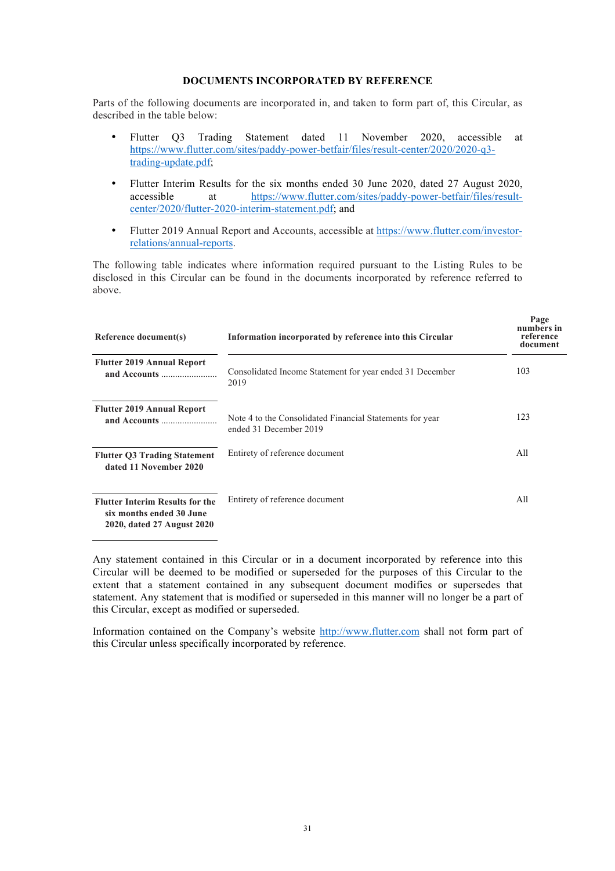#### **DOCUMENTS INCORPORATED BY REFERENCE**

Parts of the following documents are incorporated in, and taken to form part of, this Circular, as described in the table below:

- Flutter Q3 Trading Statement dated 11 November 2020, accessible at https://www.flutter.com/sites/paddy-power-betfair/files/result-center/2020/2020-q3 trading-update.pdf;
- Flutter Interim Results for the six months ended 30 June 2020, dated 27 August 2020, accessible at https://www.flutter.com/sites/paddy-power-betfair/files/resultcenter/2020/flutter-2020-interim-statement.pdf; and
- Flutter 2019 Annual Report and Accounts, accessible at https://www.flutter.com/investorrelations/annual-reports.

The following table indicates where information required pursuant to the Listing Rules to be disclosed in this Circular can be found in the documents incorporated by reference referred to above.

| Reference document(s)                                                                            | Information incorporated by reference into this Circular                           | Page<br>numbers in<br>reference<br>document |
|--------------------------------------------------------------------------------------------------|------------------------------------------------------------------------------------|---------------------------------------------|
| <b>Flutter 2019 Annual Report</b>                                                                | Consolidated Income Statement for year ended 31 December<br>2019                   | 103                                         |
| <b>Flutter 2019 Annual Report</b>                                                                | Note 4 to the Consolidated Financial Statements for year<br>ended 31 December 2019 | 123                                         |
| <b>Flutter Q3 Trading Statement</b><br>dated 11 November 2020                                    | Entirety of reference document                                                     | All                                         |
| <b>Flutter Interim Results for the</b><br>six months ended 30 June<br>2020, dated 27 August 2020 | Entirety of reference document                                                     | All                                         |

Any statement contained in this Circular or in a document incorporated by reference into this Circular will be deemed to be modified or superseded for the purposes of this Circular to the extent that a statement contained in any subsequent document modifies or supersedes that statement. Any statement that is modified or superseded in this manner will no longer be a part of this Circular, except as modified or superseded.

Information contained on the Company's website http://www.flutter.com shall not form part of this Circular unless specifically incorporated by reference.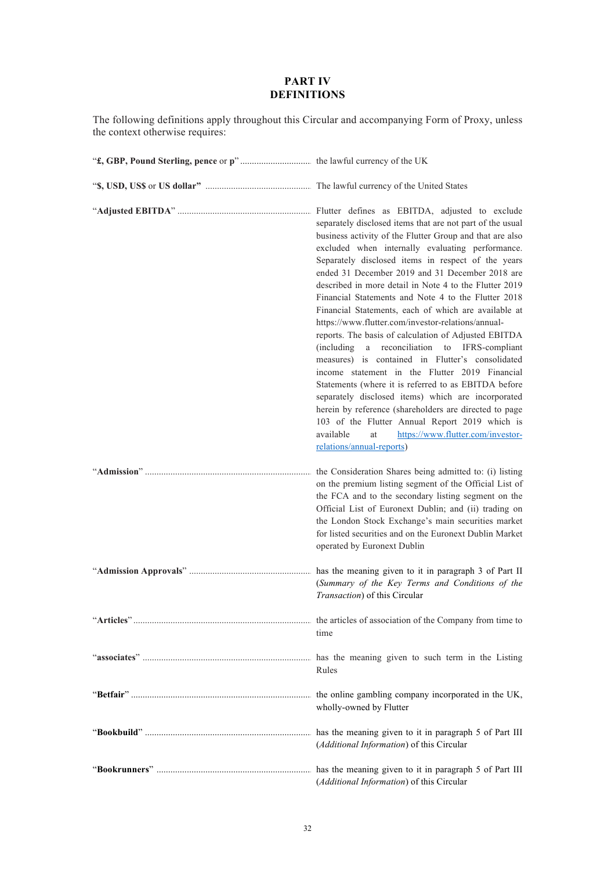# **PART IV DEFINITIONS**

The following definitions apply throughout this Circular and accompanying Form of Proxy, unless the context otherwise requires:

| Flutter defines as EBITDA, adjusted to exclude<br>separately disclosed items that are not part of the usual<br>business activity of the Flutter Group and that are also<br>excluded when internally evaluating performance.<br>Separately disclosed items in respect of the years<br>ended 31 December 2019 and 31 December 2018 are<br>described in more detail in Note 4 to the Flutter 2019<br>Financial Statements and Note 4 to the Flutter 2018<br>Financial Statements, each of which are available at<br>https://www.flutter.com/investor-relations/annual-<br>reports. The basis of calculation of Adjusted EBITDA<br>a reconciliation to IFRS-compliant<br>(including<br>measures) is contained in Flutter's consolidated<br>income statement in the Flutter 2019 Financial<br>Statements (where it is referred to as EBITDA before<br>separately disclosed items) which are incorporated<br>herein by reference (shareholders are directed to page<br>103 of the Flutter Annual Report 2019 which is<br>available<br>https://www.flutter.com/investor-<br>at<br>relations/annual-reports) |
|------------------------------------------------------------------------------------------------------------------------------------------------------------------------------------------------------------------------------------------------------------------------------------------------------------------------------------------------------------------------------------------------------------------------------------------------------------------------------------------------------------------------------------------------------------------------------------------------------------------------------------------------------------------------------------------------------------------------------------------------------------------------------------------------------------------------------------------------------------------------------------------------------------------------------------------------------------------------------------------------------------------------------------------------------------------------------------------------------|
| the Consideration Shares being admitted to: (i) listing<br>on the premium listing segment of the Official List of<br>the FCA and to the secondary listing segment on the<br>Official List of Euronext Dublin; and (ii) trading on<br>the London Stock Exchange's main securities market<br>for listed securities and on the Euronext Dublin Market<br>operated by Euronext Dublin                                                                                                                                                                                                                                                                                                                                                                                                                                                                                                                                                                                                                                                                                                                    |
| has the meaning given to it in paragraph 3 of Part II<br>(Summary of the Key Terms and Conditions of the<br>Transaction) of this Circular                                                                                                                                                                                                                                                                                                                                                                                                                                                                                                                                                                                                                                                                                                                                                                                                                                                                                                                                                            |
| time                                                                                                                                                                                                                                                                                                                                                                                                                                                                                                                                                                                                                                                                                                                                                                                                                                                                                                                                                                                                                                                                                                 |
| Rules                                                                                                                                                                                                                                                                                                                                                                                                                                                                                                                                                                                                                                                                                                                                                                                                                                                                                                                                                                                                                                                                                                |
| wholly-owned by Flutter                                                                                                                                                                                                                                                                                                                                                                                                                                                                                                                                                                                                                                                                                                                                                                                                                                                                                                                                                                                                                                                                              |
| (Additional Information) of this Circular                                                                                                                                                                                                                                                                                                                                                                                                                                                                                                                                                                                                                                                                                                                                                                                                                                                                                                                                                                                                                                                            |
| (Additional Information) of this Circular                                                                                                                                                                                                                                                                                                                                                                                                                                                                                                                                                                                                                                                                                                                                                                                                                                                                                                                                                                                                                                                            |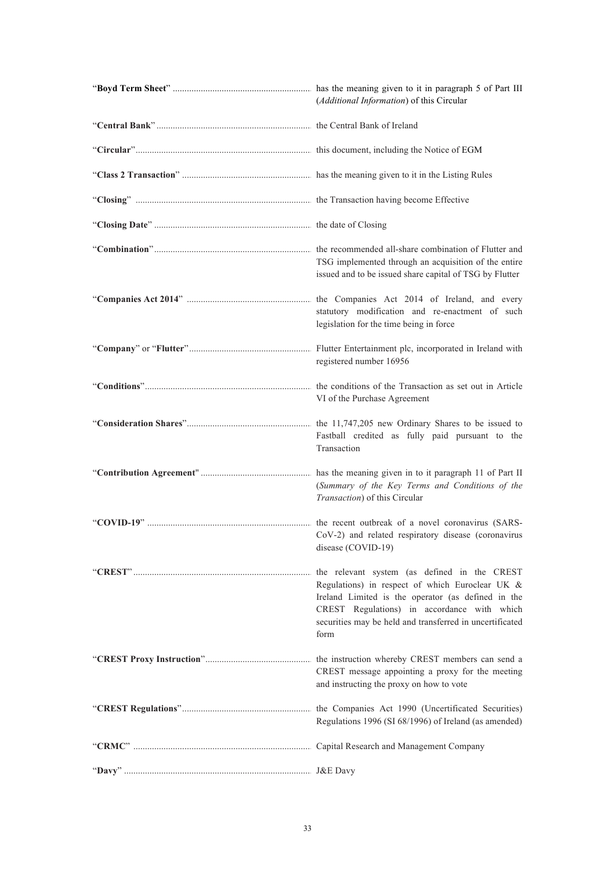| (Additional Information) of this Circular                                                                                                                                                                                                                                |
|--------------------------------------------------------------------------------------------------------------------------------------------------------------------------------------------------------------------------------------------------------------------------|
|                                                                                                                                                                                                                                                                          |
|                                                                                                                                                                                                                                                                          |
|                                                                                                                                                                                                                                                                          |
|                                                                                                                                                                                                                                                                          |
|                                                                                                                                                                                                                                                                          |
| TSG implemented through an acquisition of the entire<br>issued and to be issued share capital of TSG by Flutter                                                                                                                                                          |
| the Companies Act 2014 of Ireland, and every<br>statutory modification and re-enactment of such<br>legislation for the time being in force                                                                                                                               |
| registered number 16956                                                                                                                                                                                                                                                  |
| the conditions of the Transaction as set out in Article<br>VI of the Purchase Agreement                                                                                                                                                                                  |
| the 11,747,205 new Ordinary Shares to be issued to<br>Fastball credited as fully paid pursuant to the<br>Transaction                                                                                                                                                     |
| has the meaning given in to it paragraph 11 of Part II<br>(Summary of the Key Terms and Conditions of the<br>Transaction) of this Circular                                                                                                                               |
| the recent outbreak of a novel coronavirus (SARS-<br>CoV-2) and related respiratory disease (coronavirus<br>disease (COVID-19)                                                                                                                                           |
| the relevant system (as defined in the CREST<br>Regulations) in respect of which Euroclear UK &<br>Ireland Limited is the operator (as defined in the<br>CREST Regulations) in accordance with which<br>securities may be held and transferred in uncertificated<br>form |
| CREST message appointing a proxy for the meeting<br>and instructing the proxy on how to vote                                                                                                                                                                             |
| Regulations 1996 (SI 68/1996) of Ireland (as amended)                                                                                                                                                                                                                    |
|                                                                                                                                                                                                                                                                          |
|                                                                                                                                                                                                                                                                          |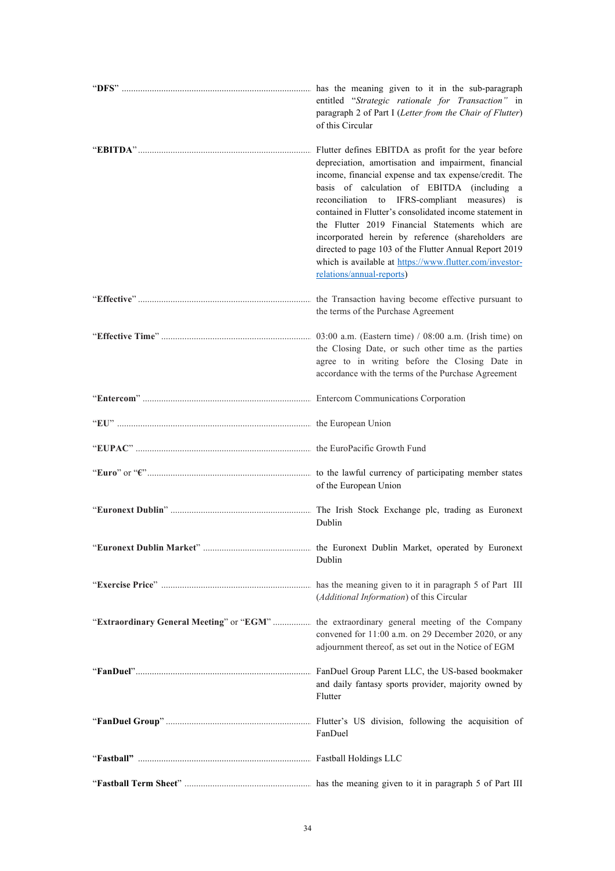| has the meaning given to it in the sub-paragraph<br>entitled "Strategic rationale for Transaction" in<br>paragraph 2 of Part I (Letter from the Chair of Flutter)<br>of this Circular                                                                                                                                                                                                                                                                                                                                                                                                       |
|---------------------------------------------------------------------------------------------------------------------------------------------------------------------------------------------------------------------------------------------------------------------------------------------------------------------------------------------------------------------------------------------------------------------------------------------------------------------------------------------------------------------------------------------------------------------------------------------|
| Flutter defines EBITDA as profit for the year before<br>depreciation, amortisation and impairment, financial<br>income, financial expense and tax expense/credit. The<br>basis of calculation of EBITDA (including a<br>reconciliation to IFRS-compliant measures) is<br>contained in Flutter's consolidated income statement in<br>the Flutter 2019 Financial Statements which are<br>incorporated herein by reference (shareholders are<br>directed to page 103 of the Flutter Annual Report 2019<br>which is available at https://www.flutter.com/investor-<br>relations/annual-reports) |
| the Transaction having become effective pursuant to<br>the terms of the Purchase Agreement                                                                                                                                                                                                                                                                                                                                                                                                                                                                                                  |
| 03:00 a.m. (Eastern time) $/$ 08:00 a.m. (Irish time) on<br>the Closing Date, or such other time as the parties<br>agree to in writing before the Closing Date in<br>accordance with the terms of the Purchase Agreement                                                                                                                                                                                                                                                                                                                                                                    |
|                                                                                                                                                                                                                                                                                                                                                                                                                                                                                                                                                                                             |
|                                                                                                                                                                                                                                                                                                                                                                                                                                                                                                                                                                                             |
|                                                                                                                                                                                                                                                                                                                                                                                                                                                                                                                                                                                             |
| of the European Union                                                                                                                                                                                                                                                                                                                                                                                                                                                                                                                                                                       |
| The Irish Stock Exchange plc, trading as Euronext<br>Dublin                                                                                                                                                                                                                                                                                                                                                                                                                                                                                                                                 |
| Dublin                                                                                                                                                                                                                                                                                                                                                                                                                                                                                                                                                                                      |
| (Additional Information) of this Circular                                                                                                                                                                                                                                                                                                                                                                                                                                                                                                                                                   |
| convened for 11:00 a.m. on 29 December 2020, or any<br>adjournment thereof, as set out in the Notice of EGM                                                                                                                                                                                                                                                                                                                                                                                                                                                                                 |
| and daily fantasy sports provider, majority owned by<br>Flutter                                                                                                                                                                                                                                                                                                                                                                                                                                                                                                                             |
| FanDuel                                                                                                                                                                                                                                                                                                                                                                                                                                                                                                                                                                                     |
|                                                                                                                                                                                                                                                                                                                                                                                                                                                                                                                                                                                             |
|                                                                                                                                                                                                                                                                                                                                                                                                                                                                                                                                                                                             |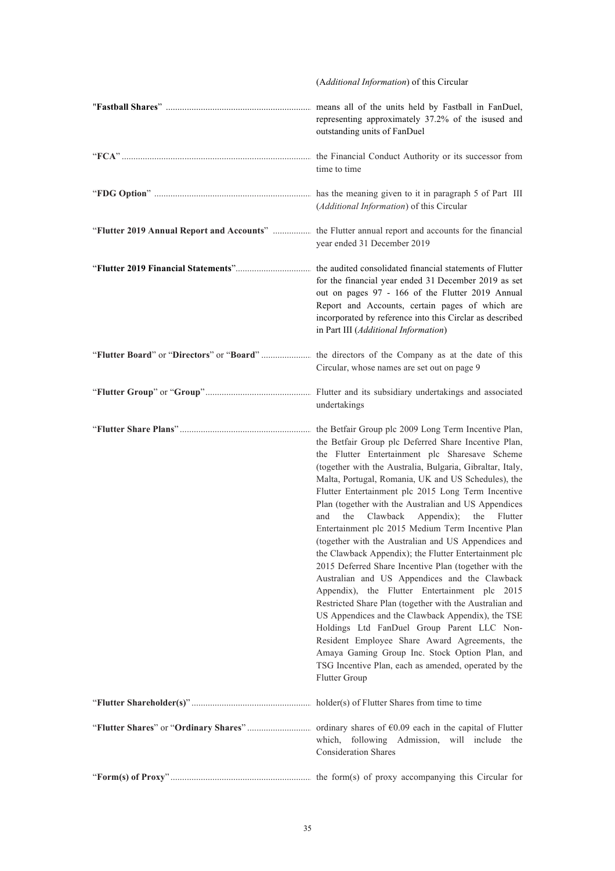|                                           | (Additional Information) of this Circular                                                                                                                                                                                                                                                                                                                                                                                                                                                                                                                                                                                                                                                                                                                                                                                                                                                                                                                                                                                                                                                                                             |
|-------------------------------------------|---------------------------------------------------------------------------------------------------------------------------------------------------------------------------------------------------------------------------------------------------------------------------------------------------------------------------------------------------------------------------------------------------------------------------------------------------------------------------------------------------------------------------------------------------------------------------------------------------------------------------------------------------------------------------------------------------------------------------------------------------------------------------------------------------------------------------------------------------------------------------------------------------------------------------------------------------------------------------------------------------------------------------------------------------------------------------------------------------------------------------------------|
|                                           | means all of the units held by Fastball in FanDuel,<br>representing approximately 37.2% of the isused and<br>outstanding units of FanDuel                                                                                                                                                                                                                                                                                                                                                                                                                                                                                                                                                                                                                                                                                                                                                                                                                                                                                                                                                                                             |
|                                           | the Financial Conduct Authority or its successor from<br>time to time                                                                                                                                                                                                                                                                                                                                                                                                                                                                                                                                                                                                                                                                                                                                                                                                                                                                                                                                                                                                                                                                 |
|                                           | has the meaning given to it in paragraph 5 of Part III<br>(Additional Information) of this Circular                                                                                                                                                                                                                                                                                                                                                                                                                                                                                                                                                                                                                                                                                                                                                                                                                                                                                                                                                                                                                                   |
| "Flutter 2019 Annual Report and Accounts" | the Flutter annual report and accounts for the financial<br>year ended 31 December 2019                                                                                                                                                                                                                                                                                                                                                                                                                                                                                                                                                                                                                                                                                                                                                                                                                                                                                                                                                                                                                                               |
|                                           | the audited consolidated financial statements of Flutter<br>for the financial year ended 31 December 2019 as set<br>out on pages 97 - 166 of the Flutter 2019 Annual<br>Report and Accounts, certain pages of which are<br>incorporated by reference into this Circlar as described<br>in Part III (Additional Information)                                                                                                                                                                                                                                                                                                                                                                                                                                                                                                                                                                                                                                                                                                                                                                                                           |
|                                           | the directors of the Company as at the date of this<br>Circular, whose names are set out on page 9                                                                                                                                                                                                                                                                                                                                                                                                                                                                                                                                                                                                                                                                                                                                                                                                                                                                                                                                                                                                                                    |
|                                           | Flutter and its subsidiary undertakings and associated<br>undertakings                                                                                                                                                                                                                                                                                                                                                                                                                                                                                                                                                                                                                                                                                                                                                                                                                                                                                                                                                                                                                                                                |
|                                           | the Betfair Group plc 2009 Long Term Incentive Plan,<br>the Betfair Group plc Deferred Share Incentive Plan,<br>the Flutter Entertainment plc Sharesave Scheme<br>(together with the Australia, Bulgaria, Gibraltar, Italy,<br>Malta, Portugal, Romania, UK and US Schedules), the<br>Flutter Entertainment plc 2015 Long Term Incentive<br>Plan (together with the Australian and US Appendices<br>the<br>Clawback Appendix);<br>and<br>the Flutter<br>Entertainment plc 2015 Medium Term Incentive Plan<br>(together with the Australian and US Appendices and<br>the Clawback Appendix); the Flutter Entertainment plc<br>2015 Deferred Share Incentive Plan (together with the<br>Australian and US Appendices and the Clawback<br>Appendix), the Flutter Entertainment plc 2015<br>Restricted Share Plan (together with the Australian and<br>US Appendices and the Clawback Appendix), the TSE<br>Holdings Ltd FanDuel Group Parent LLC Non-<br>Resident Employee Share Award Agreements, the<br>Amaya Gaming Group Inc. Stock Option Plan, and<br>TSG Incentive Plan, each as amended, operated by the<br><b>Flutter Group</b> |
|                                           | holder(s) of Flutter Shares from time to time                                                                                                                                                                                                                                                                                                                                                                                                                                                                                                                                                                                                                                                                                                                                                                                                                                                                                                                                                                                                                                                                                         |
|                                           | which, following Admission, will include the<br><b>Consideration Shares</b>                                                                                                                                                                                                                                                                                                                                                                                                                                                                                                                                                                                                                                                                                                                                                                                                                                                                                                                                                                                                                                                           |
|                                           |                                                                                                                                                                                                                                                                                                                                                                                                                                                                                                                                                                                                                                                                                                                                                                                                                                                                                                                                                                                                                                                                                                                                       |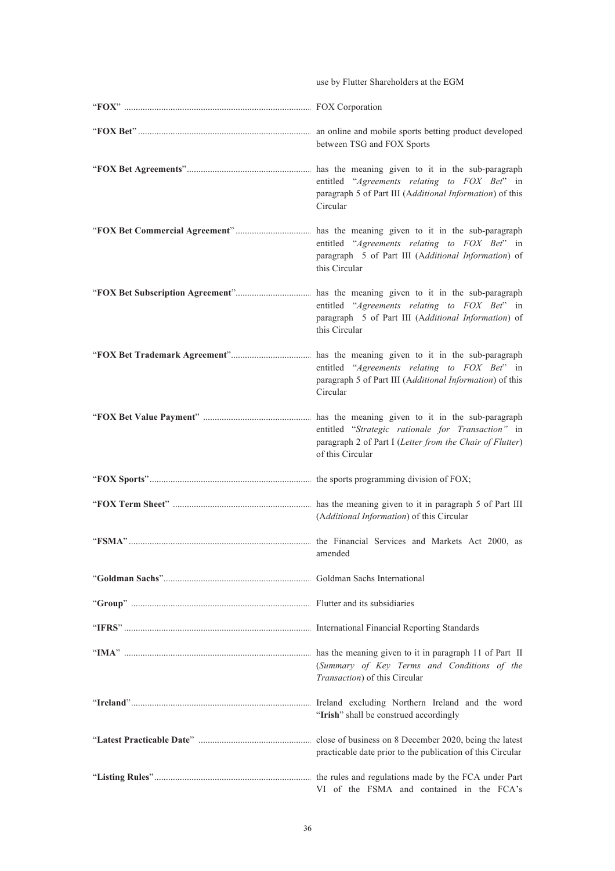|        | use by Flutter Shareholders at the EGM                                                                                            |
|--------|-----------------------------------------------------------------------------------------------------------------------------------|
|        |                                                                                                                                   |
|        | between TSG and FOX Sports                                                                                                        |
|        | entitled "Agreements relating to FOX Bet" in<br>paragraph 5 of Part III (Additional Information) of this<br>Circular              |
|        | entitled "Agreements relating to FOX Bet" in<br>paragraph 5 of Part III (Additional Information) of<br>this Circular              |
|        | entitled "Agreements relating to FOX Bet" in<br>paragraph 5 of Part III (Additional Information) of<br>this Circular              |
|        | entitled "Agreements relating to FOX Bet" in<br>paragraph 5 of Part III (Additional Information) of this<br>Circular              |
|        | entitled "Strategic rationale for Transaction" in<br>paragraph 2 of Part I (Letter from the Chair of Flutter)<br>of this Circular |
|        |                                                                                                                                   |
|        | (Additional Information) of this Circular                                                                                         |
| "FSMA" | the Financial Services and Markets Act 2000, as<br>amended                                                                        |
|        |                                                                                                                                   |
|        |                                                                                                                                   |
|        |                                                                                                                                   |
|        | (Summary of Key Terms and Conditions of the<br>Transaction) of this Circular                                                      |
|        | "Irish" shall be construed accordingly                                                                                            |
|        | practicable date prior to the publication of this Circular                                                                        |
|        | VI of the FSMA and contained in the FCA's                                                                                         |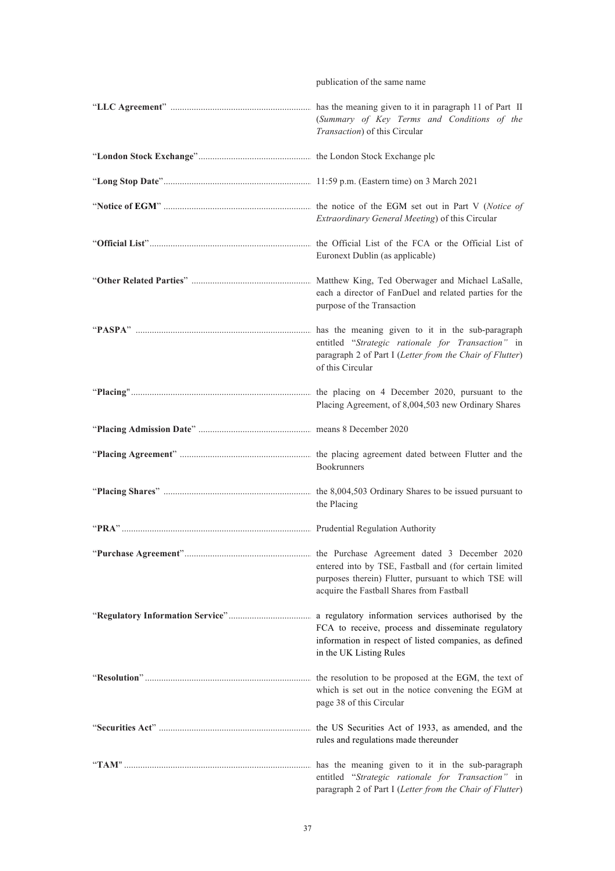publication of the same name

| (Summary of Key Terms and Conditions of the<br>Transaction) of this Circular                                                                                                          |
|---------------------------------------------------------------------------------------------------------------------------------------------------------------------------------------|
|                                                                                                                                                                                       |
|                                                                                                                                                                                       |
| Extraordinary General Meeting) of this Circular                                                                                                                                       |
| Euronext Dublin (as applicable)                                                                                                                                                       |
| Matthew King, Ted Oberwager and Michael LaSalle,<br>each a director of FanDuel and related parties for the<br>purpose of the Transaction                                              |
| has the meaning given to it in the sub-paragraph<br>entitled "Strategic rationale for Transaction" in<br>paragraph 2 of Part I (Letter from the Chair of Flutter)<br>of this Circular |
| Placing Agreement, of 8,004,503 new Ordinary Shares                                                                                                                                   |
|                                                                                                                                                                                       |
| Bookrunners                                                                                                                                                                           |
| the Placing                                                                                                                                                                           |
|                                                                                                                                                                                       |
| entered into by TSE, Fastball and (for certain limited<br>purposes therein) Flutter, pursuant to which TSE will<br>acquire the Fastball Shares from Fastball                          |
| FCA to receive, process and disseminate regulatory<br>information in respect of listed companies, as defined<br>in the UK Listing Rules                                               |
| which is set out in the notice convening the EGM at<br>page 38 of this Circular                                                                                                       |
| rules and regulations made thereunder                                                                                                                                                 |
| entitled "Strategic rationale for Transaction" in<br>paragraph 2 of Part I (Letter from the Chair of Flutter)                                                                         |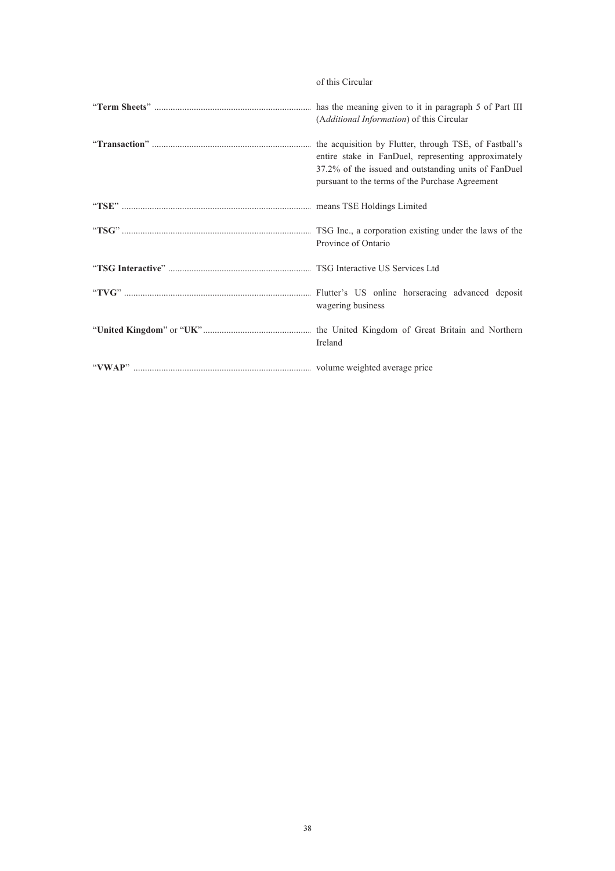| of this Circular |  |
|------------------|--|
|                  |  |

| (Additional Information) of this Circular                                                                                                                      |
|----------------------------------------------------------------------------------------------------------------------------------------------------------------|
| entire stake in FanDuel, representing approximately<br>37.2% of the issued and outstanding units of FanDuel<br>pursuant to the terms of the Purchase Agreement |
|                                                                                                                                                                |
| Province of Ontario                                                                                                                                            |
|                                                                                                                                                                |
| wagering business                                                                                                                                              |
| Ireland                                                                                                                                                        |
|                                                                                                                                                                |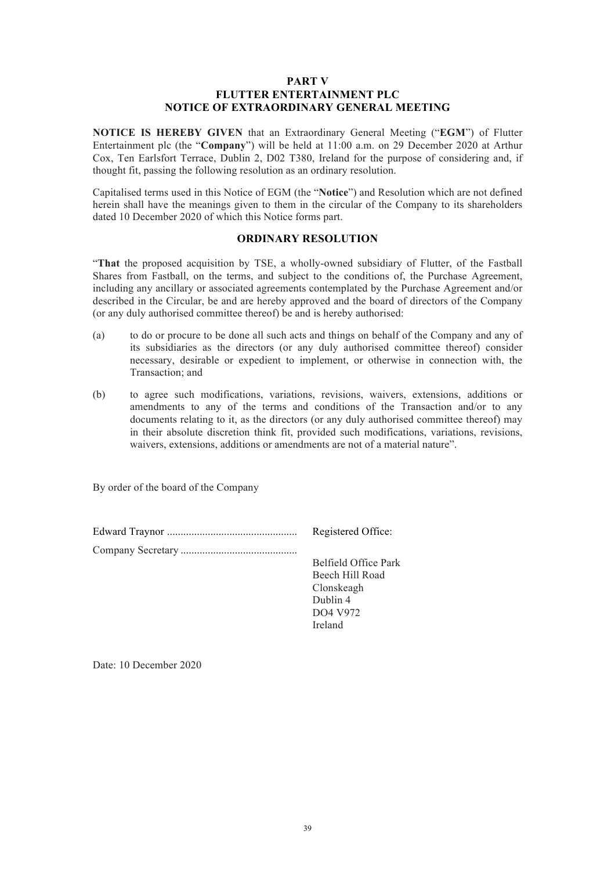#### **PART V FLUTTER ENTERTAINMENT PLC NOTICE OF EXTRAORDINARY GENERAL MEETING**

**NOTICE IS HEREBY GIVEN** that an Extraordinary General Meeting ("**EGM**") of Flutter Entertainment plc (the "**Company**") will be held at 11:00 a.m. on 29 December 2020 at Arthur Cox, Ten Earlsfort Terrace, Dublin 2, D02 T380, Ireland for the purpose of considering and, if thought fit, passing the following resolution as an ordinary resolution.

Capitalised terms used in this Notice of EGM (the "**Notice**") and Resolution which are not defined herein shall have the meanings given to them in the circular of the Company to its shareholders dated 10 December 2020 of which this Notice forms part.

#### **ORDINARY RESOLUTION**

"**That** the proposed acquisition by TSE, a wholly-owned subsidiary of Flutter, of the Fastball Shares from Fastball, on the terms, and subject to the conditions of, the Purchase Agreement, including any ancillary or associated agreements contemplated by the Purchase Agreement and/or described in the Circular, be and are hereby approved and the board of directors of the Company (or any duly authorised committee thereof) be and is hereby authorised:

- (a) to do or procure to be done all such acts and things on behalf of the Company and any of its subsidiaries as the directors (or any duly authorised committee thereof) consider necessary, desirable or expedient to implement, or otherwise in connection with, the Transaction; and
- (b) to agree such modifications, variations, revisions, waivers, extensions, additions or amendments to any of the terms and conditions of the Transaction and/or to any documents relating to it, as the directors (or any duly authorised committee thereof) may in their absolute discretion think fit, provided such modifications, variations, revisions, waivers, extensions, additions or amendments are not of a material nature".

Dublin 4 DO4 V972 Ireland

By order of the board of the Company

| Registered Office:   |
|----------------------|
|                      |
| Belfield Office Park |
| Beech Hill Road      |
| Clonskeagh           |

Date: 10 December 2020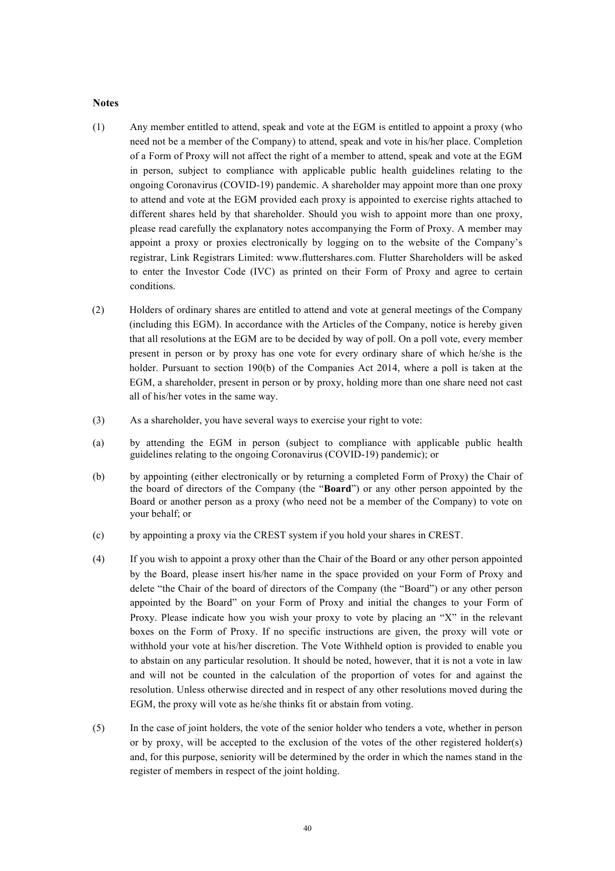#### **Notes**

- (1) Any member entitled to attend, speak and vote at the EGM is entitled to appoint a proxy (who need not be a member of the Company) to attend, speak and vote in his/her place. Completion of a Form of Proxy will not affect the right of a member to attend, speak and vote at the EGM in person, subject to compliance with applicable public health guidelines relating to the ongoing Coronavirus (COVID-19) pandemic. A shareholder may appoint more than one proxy to attend and vote at the EGM provided each proxy is appointed to exercise rights attached to different shares held by that shareholder. Should you wish to appoint more than one proxy, please read carefully the explanatory notes accompanying the Form of Proxy. A member may appoint a proxy or proxies electronically by logging on to the website of the Company's registrar, Link Registrars Limited: www.fluttershares.com. Flutter Shareholders will be asked to enter the Investor Code (IVC) as printed on their Form of Proxy and agree to certain conditions.
- (2) Holders of ordinary shares are entitled to attend and vote at general meetings of the Company (including this EGM). In accordance with the Articles of the Company, notice is hereby given that all resolutions at the EGM are to be decided by way of poll. On a poll vote, every member present in person or by proxy has one vote for every ordinary share of which he/she is the holder. Pursuant to section 190(b) of the Companies Act 2014, where a poll is taken at the EGM, a shareholder, present in person or by proxy, holding more than one share need not cast all of his/her votes in the same way.
- (3) As a shareholder, you have several ways to exercise your right to vote:
- (a) by attending the EGM in person (subject to compliance with applicable public health guidelines relating to the ongoing Coronavirus (COVID-19) pandemic); or
- (b) by appointing (either electronically or by returning a completed Form of Proxy) the Chair of the board of directors of the Company (the "**Board**") or any other person appointed by the Board or another person as a proxy (who need not be a member of the Company) to vote on your behalf; or
- (c) by appointing a proxy via the CREST system if you hold your shares in CREST.
- (4) If you wish to appoint a proxy other than the Chair of the Board or any other person appointed by the Board, please insert his/her name in the space provided on your Form of Proxy and delete "the Chair of the board of directors of the Company (the "Board") or any other person appointed by the Board" on your Form of Proxy and initial the changes to your Form of Proxy. Please indicate how you wish your proxy to vote by placing an "X" in the relevant boxes on the Form of Proxy. If no specific instructions are given, the proxy will vote or withhold your vote at his/her discretion. The Vote Withheld option is provided to enable you to abstain on any particular resolution. It should be noted, however, that it is not a vote in law and will not be counted in the calculation of the proportion of votes for and against the resolution. Unless otherwise directed and in respect of any other resolutions moved during the EGM, the proxy will vote as he/she thinks fit or abstain from voting.
- (5) In the case of joint holders, the vote of the senior holder who tenders a vote, whether in person or by proxy, will be accepted to the exclusion of the votes of the other registered holder(s) and, for this purpose, seniority will be determined by the order in which the names stand in the register of members in respect of the joint holding.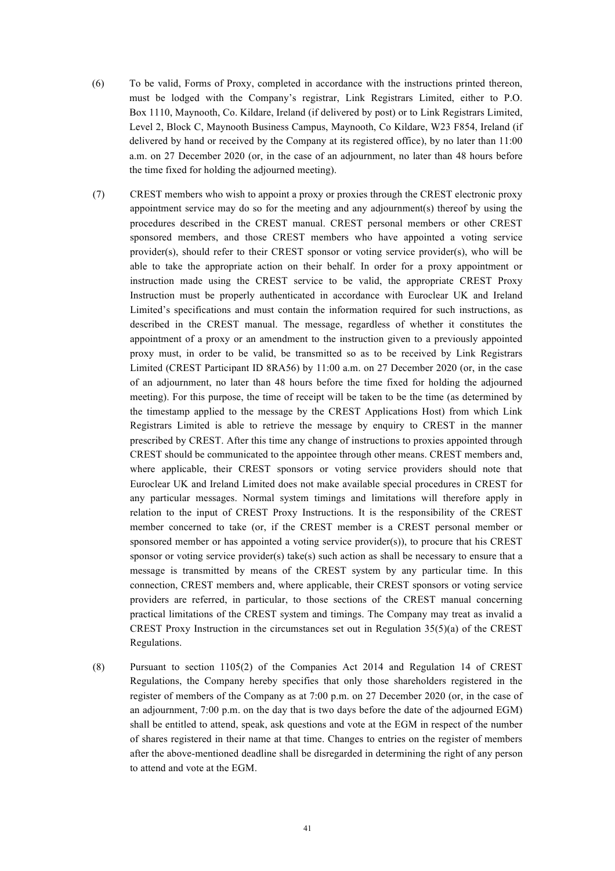- (6) To be valid, Forms of Proxy, completed in accordance with the instructions printed thereon, must be lodged with the Company's registrar, Link Registrars Limited, either to P.O. Box 1110, Maynooth, Co. Kildare, Ireland (if delivered by post) or to Link Registrars Limited, Level 2, Block C, Maynooth Business Campus, Maynooth, Co Kildare, W23 F854, Ireland (if delivered by hand or received by the Company at its registered office), by no later than 11:00 a.m. on 27 December 2020 (or, in the case of an adjournment, no later than 48 hours before the time fixed for holding the adjourned meeting).
- (7) CREST members who wish to appoint a proxy or proxies through the CREST electronic proxy appointment service may do so for the meeting and any adjournment(s) thereof by using the procedures described in the CREST manual. CREST personal members or other CREST sponsored members, and those CREST members who have appointed a voting service provider(s), should refer to their CREST sponsor or voting service provider(s), who will be able to take the appropriate action on their behalf. In order for a proxy appointment or instruction made using the CREST service to be valid, the appropriate CREST Proxy Instruction must be properly authenticated in accordance with Euroclear UK and Ireland Limited's specifications and must contain the information required for such instructions, as described in the CREST manual. The message, regardless of whether it constitutes the appointment of a proxy or an amendment to the instruction given to a previously appointed proxy must, in order to be valid, be transmitted so as to be received by Link Registrars Limited (CREST Participant ID 8RA56) by 11:00 a.m. on 27 December 2020 (or, in the case of an adjournment, no later than 48 hours before the time fixed for holding the adjourned meeting). For this purpose, the time of receipt will be taken to be the time (as determined by the timestamp applied to the message by the CREST Applications Host) from which Link Registrars Limited is able to retrieve the message by enquiry to CREST in the manner prescribed by CREST. After this time any change of instructions to proxies appointed through CREST should be communicated to the appointee through other means. CREST members and, where applicable, their CREST sponsors or voting service providers should note that Euroclear UK and Ireland Limited does not make available special procedures in CREST for any particular messages. Normal system timings and limitations will therefore apply in relation to the input of CREST Proxy Instructions. It is the responsibility of the CREST member concerned to take (or, if the CREST member is a CREST personal member or sponsored member or has appointed a voting service provider(s)), to procure that his CREST sponsor or voting service provider(s) take(s) such action as shall be necessary to ensure that a message is transmitted by means of the CREST system by any particular time. In this connection, CREST members and, where applicable, their CREST sponsors or voting service providers are referred, in particular, to those sections of the CREST manual concerning practical limitations of the CREST system and timings. The Company may treat as invalid a CREST Proxy Instruction in the circumstances set out in Regulation 35(5)(a) of the CREST Regulations.
- (8) Pursuant to section 1105(2) of the Companies Act 2014 and Regulation 14 of CREST Regulations, the Company hereby specifies that only those shareholders registered in the register of members of the Company as at 7:00 p.m. on 27 December 2020 (or, in the case of an adjournment, 7:00 p.m. on the day that is two days before the date of the adjourned EGM) shall be entitled to attend, speak, ask questions and vote at the EGM in respect of the number of shares registered in their name at that time. Changes to entries on the register of members after the above-mentioned deadline shall be disregarded in determining the right of any person to attend and vote at the EGM.